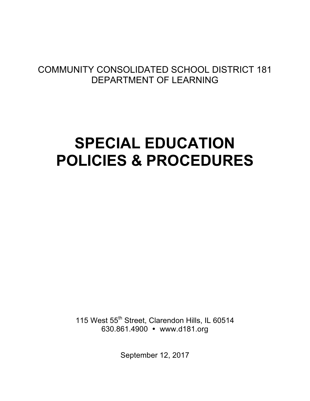## COMMUNITY CONSOLIDATED SCHOOL DISTRICT 181 DEPARTMENT OF LEARNING

# **SPECIAL EDUCATION POLICIES & PROCEDURES**

115 West 55<sup>th</sup> Street, Clarendon Hills, IL 60514 630.861.4900 www.d181.org

September 12, 2017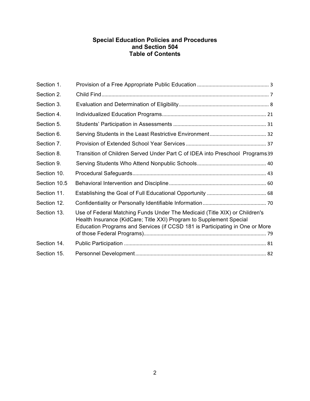#### **Special Education Policies and Procedures and Section 504 Table of Contents**

| Section 1.   |                                                                                                                                                                                                                                   |  |
|--------------|-----------------------------------------------------------------------------------------------------------------------------------------------------------------------------------------------------------------------------------|--|
| Section 2.   |                                                                                                                                                                                                                                   |  |
| Section 3.   |                                                                                                                                                                                                                                   |  |
| Section 4.   |                                                                                                                                                                                                                                   |  |
| Section 5.   |                                                                                                                                                                                                                                   |  |
| Section 6.   |                                                                                                                                                                                                                                   |  |
| Section 7.   |                                                                                                                                                                                                                                   |  |
| Section 8.   | Transition of Children Served Under Part C of IDEA into Preschool Programs39                                                                                                                                                      |  |
| Section 9.   |                                                                                                                                                                                                                                   |  |
| Section 10.  |                                                                                                                                                                                                                                   |  |
| Section 10.5 |                                                                                                                                                                                                                                   |  |
| Section 11.  |                                                                                                                                                                                                                                   |  |
| Section 12.  |                                                                                                                                                                                                                                   |  |
| Section 13.  | Use of Federal Matching Funds Under The Medicaid (Title XIX) or Children's<br>Health Insurance (KidCare; Title XXI) Program to Supplement Special<br>Education Programs and Services (if CCSD 181 is Participating in One or More |  |
| Section 14.  |                                                                                                                                                                                                                                   |  |
| Section 15.  |                                                                                                                                                                                                                                   |  |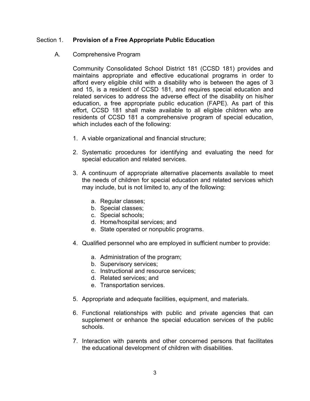#### Section 1. **Provision of a Free Appropriate Public Education**

#### A. Comprehensive Program

Community Consolidated School District 181 (CCSD 181) provides and maintains appropriate and effective educational programs in order to afford every eligible child with a disability who is between the ages of 3 and 15, is a resident of CCSD 181, and requires special education and related services to address the adverse effect of the disability on his/her education, a free appropriate public education (FAPE). As part of this effort, CCSD 181 shall make available to all eligible children who are residents of CCSD 181 a comprehensive program of special education, which includes each of the following:

- 1. A viable organizational and financial structure;
- 2. Systematic procedures for identifying and evaluating the need for special education and related services.
- 3. A continuum of appropriate alternative placements available to meet the needs of children for special education and related services which may include, but is not limited to, any of the following:
	- a. Regular classes;
	- b. Special classes;
	- c. Special schools;
	- d. Home/hospital services; and
	- e. State operated or nonpublic programs.
- 4. Qualified personnel who are employed in sufficient number to provide:
	- a. Administration of the program;
	- b. Supervisory services;
	- c. Instructional and resource services;
	- d. Related services; and
	- e. Transportation services.
- 5. Appropriate and adequate facilities, equipment, and materials.
- 6. Functional relationships with public and private agencies that can supplement or enhance the special education services of the public schools.
- 7. Interaction with parents and other concerned persons that facilitates the educational development of children with disabilities.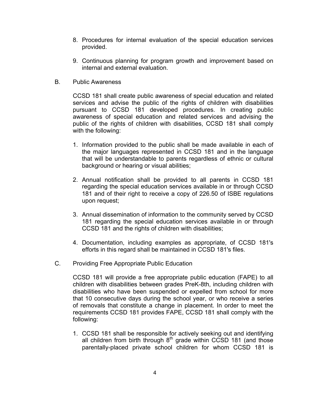- 8. Procedures for internal evaluation of the special education services provided.
- 9. Continuous planning for program growth and improvement based on internal and external evaluation.
- B. Public Awareness

CCSD 181 shall create public awareness of special education and related services and advise the public of the rights of children with disabilities pursuant to CCSD 181 developed procedures. In creating public awareness of special education and related services and advising the public of the rights of children with disabilities, CCSD 181 shall comply with the following:

- 1. Information provided to the public shall be made available in each of the major languages represented in CCSD 181 and in the language that will be understandable to parents regardless of ethnic or cultural background or hearing or visual abilities;
- 2. Annual notification shall be provided to all parents in CCSD 181 regarding the special education services available in or through CCSD 181 and of their right to receive a copy of 226.50 of ISBE regulations upon request;
- 3. Annual dissemination of information to the community served by CCSD 181 regarding the special education services available in or through CCSD 181 and the rights of children with disabilities;
- 4. Documentation, including examples as appropriate, of CCSD 181's efforts in this regard shall be maintained in CCSD 181's files.
- C. Providing Free Appropriate Public Education

CCSD 181 will provide a free appropriate public education (FAPE) to all children with disabilities between grades PreK-8th, including children with disabilities who have been suspended or expelled from school for more that 10 consecutive days during the school year, or who receive a series of removals that constitute a change in placement. In order to meet the requirements CCSD 181 provides FAPE, CCSD 181 shall comply with the following:

1. CCSD 181 shall be responsible for actively seeking out and identifying all children from birth through  $8<sup>th</sup>$  grade within CCSD 181 (and those parentally-placed private school children for whom CCSD 181 is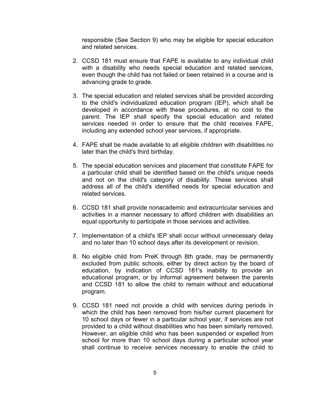responsible (See Section 9) who may be eligible for special education and related services.

- 2. CCSD 181 must ensure that FAPE is available to any individual child with a disability who needs special education and related services, even though the child has not failed or been retained in a course and is advancing grade to grade.
- 3. The special education and related services shall be provided according to the child's individualized education program (IEP), which shall be developed in accordance with these procedures, at no cost to the parent. The IEP shall specify the special education and related services needed in order to ensure that the child receives FAPE, including any extended school year services, if appropriate.
- 4. FAPE shall be made available to all eligible children with disabilities no later than the child's third birthday.
- 5. The special education services and placement that constitute FAPE for a particular child shall be identified based on the child's unique needs and not on the child's category of disability. These services shall address all of the child's identified needs for special education and related services.
- 6. CCSD 181 shall provide nonacademic and extracurricular services and activities in a manner necessary to afford children with disabilities an equal opportunity to participate in those services and activities.
- 7. Implementation of a child's IEP shall occur without unnecessary delay and no later than 10 school days after its development or revision.
- 8. No eligible child from PreK through 8th grade, may be permanently excluded from public schools, either by direct action by the board of education, by indication of CCSD 181's inability to provide an educational program, or by informal agreement between the parents and CCSD 181 to allow the child to remain without and educational program.
- 9. CCSD 181 need not provide a child with services during periods in which the child has been removed from his/her current placement for 10 school days or fewer in a particular school year, if services are not provided to a child without disabilities who has been similarly removed. However, an eligible child who has been suspended or expelled from school for more than 10 school days during a particular school year shall continue to receive services necessary to enable the child to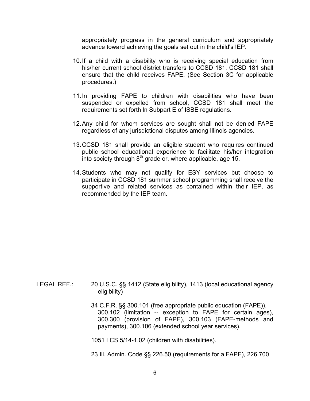appropriately progress in the general curriculum and appropriately advance toward achieving the goals set out in the child's IEP.

- 10.If a child with a disability who is receiving special education from his/her current school district transfers to CCSD 181, CCSD 181 shall ensure that the child receives FAPE. (See Section 3C for applicable procedures.)
- 11.In providing FAPE to children with disabilities who have been suspended or expelled from school, CCSD 181 shall meet the requirements set forth ln Subpart E of ISBE regulations.
- 12.Any child for whom services are sought shall not be denied FAPE regardless of any jurisdictional disputes among Illinois agencies.
- 13.CCSD 181 shall provide an eligible student who requires continued public school educational experience to facilitate his/her integration into society through  $8<sup>th</sup>$  grade or, where applicable, age 15.
- 14.Students who may not qualify for ESY services but choose to participate in CCSD 181 summer school programming shall receive the supportive and related services as contained within their IEP, as recommended by the IEP team.

- LEGAL REF.: 20 U.S.C. §§ 1412 (State eligibility), 1413 (local educational agency eligibility)
	- 34 C.F.R. §§ 300.101 (free appropriate public education (FAPE)), 300.102 (limitation -- exception to FAPE for certain ages), 300.300 (provision of FAPE), 300.103 (FAPE-methods and payments), 300.106 (extended school year services).

1051 LCS 5/14-1.02 (children with disabilities).

23 Ill. Admin. Code §§ 226.50 (requirements for a FAPE), 226.700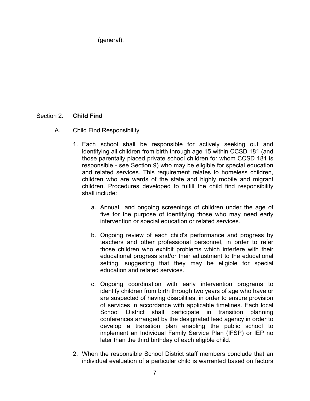(general).

### Section 2. **Child Find**

- A. Child Find Responsibility
	- 1. Each school shall be responsible for actively seeking out and identifying all children from birth through age 15 within CCSD 181 (and those parentally placed private school children for whom CCSD 181 is responsible - see Section 9) who may be eligible for special education and related services. This requirement relates to homeless children, children who are wards of the state and highly mobile and migrant children. Procedures developed to fulfill the child find responsibility shall include:
		- a. Annual and ongoing screenings of children under the age of five for the purpose of identifying those who may need early intervention or special education or related services.
		- b. Ongoing review of each child's performance and progress by teachers and other professional personnel, in order to refer those children who exhibit problems which interfere with their educational progress and/or their adjustment to the educational setting, suggesting that they may be eligible for special education and related services.
		- c. Ongoing coordination with early intervention programs to identify children from birth through two years of age who have or are suspected of having disabilities, in order to ensure provision of services in accordance with applicable timelines. Each local School District shall participate in transition planning conferences arranged by the designated lead agency in order to develop a transition plan enabling the public school to implement an Individual Family Service Plan (IFSP) or IEP no later than the third birthday of each eligible child.
	- 2. When the responsible School District staff members conclude that an individual evaluation of a particular child is warranted based on factors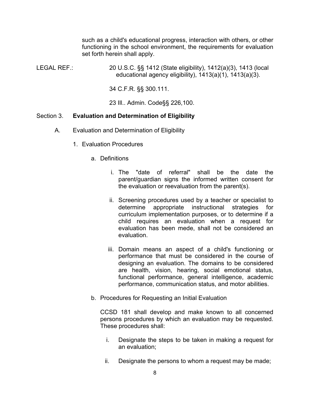such as a child's educational progress, interaction with others, or other functioning in the school environment, the requirements for evaluation set forth herein shall apply.

LEGAL REF.: 20 U.S.C. §§ 1412 (State eligibility), 1412(a)(3), 1413 (local educational agency eligibility), 1413(a)(1), 1413(a)(3).

34 C.F.R. §§ 300.111.

23 Ill.. Admin. Code§§ 226,100.

#### Section 3. **Evaluation and Determination of Eligibility**

- A. Evaluation and Determination of Eligibility
	- 1. Evaluation Procedures
		- a. Definitions
			- i. The "date of referral" shall be the date the parent/guardian signs the informed written consent for the evaluation or reevaluation from the parent(s).
			- ii. Screening procedures used by a teacher or specialist to determine appropriate instructional strategies for curriculum implementation purposes, or to determine if a child requires an evaluation when a request for evaluation has been mede, shall not be considered an evaluation.
			- iii. Domain means an aspect of a child's functioning or performance that must be considered in the course of designing an evaluation. The domains to be considered are health, vision, hearing, social emotional status, functional performance, general intelligence, academic performance, communication status, and motor abilities.
		- b. Procedures for Requesting an Initial Evaluation

CCSD 181 shall develop and make known to all concerned persons procedures by which an evaluation may be requested. These procedures shall:

- i. Designate the steps to be taken in making a request for an evaluation;
- ii. Designate the persons to whom a request may be made;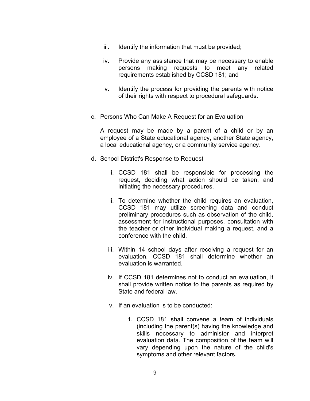- iii. Identify the information that must be provided;
- iv. Provide any assistance that may be necessary to enable persons making requests to meet any related requirements established by CCSD 181; and
- v. Identify the process for providing the parents with notice of their rights with respect to procedural safeguards.
- c. Persons Who Can Make A Request for an Evaluation

A request may be made by a parent of a child or by an employee of a State educational agency, another State agency, a local educational agency, or a community service agency.

- d. School District's Response to Request
	- i. CCSD 181 shall be responsible for processing the request, deciding what action should be taken, and initiating the necessary procedures.
	- ii. To determine whether the child requires an evaluation, CCSD 181 may utilize screening data and conduct preliminary procedures such as observation of the child, assessment for instructional purposes, consultation with the teacher or other individual making a request, and a conference with the child.
	- iii. Within 14 school days after receiving a request for an evaluation, CCSD 181 shall determine whether an evaluation is warranted.
	- iv. If CCSD 181 determines not to conduct an evaluation, it shall provide written notice to the parents as required by State and federal law.
	- v. If an evaluation is to be conducted:
		- 1. CCSD 181 shall convene a team of individuals (including the parent(s) having the knowledge and skills necessary to administer and interpret evaluation data. The composition of the team will vary depending upon the nature of the child's symptoms and other relevant factors.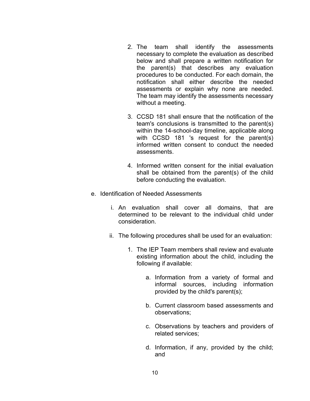- 2. The team shall identify the assessments necessary to complete the evaluation as described below and shall prepare a written notification for the parent(s) that describes any evaluation procedures to be conducted. For each domain, the notification shall either describe the needed assessments or explain why none are needed. The team may identify the assessments necessary without a meeting.
- 3. CCSD 181 shall ensure that the notification of the team's conclusions is transmitted to the parent(s) within the 14-school-day timeline, applicable along with CCSD 181 's request for the parent(s) informed written consent to conduct the needed assessments.
- 4. Informed written consent for the initial evaluation shall be obtained from the parent(s) of the child before conducting the evaluation.
- e. Identification of Needed Assessments
	- i. An evaluation shall cover all domains, that are determined to be relevant to the individual child under consideration.
	- ii. The following procedures shall be used for an evaluation:
		- 1. The IEP Team members shall review and evaluate existing information about the child, including the following if available:
			- a. Information from a variety of formal and informal sources, including information provided by the child's parent(s);
			- b. Current classroom based assessments and observations;
			- c. Observations by teachers and providers of related services;
			- d. Information, if any, provided by the child; and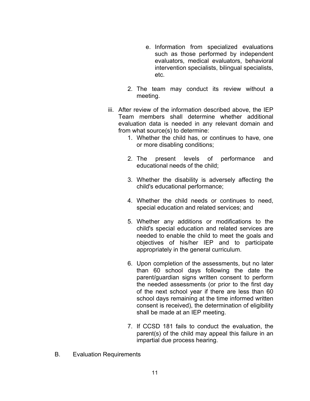- e. Information from specialized evaluations such as those performed by independent evaluators, medical evaluators, behavioral intervention specialists, bilingual specialists, etc.
- 2. The team may conduct its review without a meeting.
- iii. After review of the information described above, the IEP Team members shall determine whether additional evaluation data is needed in any relevant domain and from what source(s) to determine:
	- 1. Whether the child has, or continues to have, one or more disabling conditions;
	- 2. The present levels of performance and educational needs of the child;
	- 3. Whether the disability is adversely affecting the child's educational performance;
	- 4. Whether the child needs or continues to need, special education and related services; and
	- 5. Whether any additions or modifications to the child's special education and related services are needed to enable the child to meet the goals and objectives of his/her IEP and to participate appropriately in the general curriculum.
	- 6. Upon completion of the assessments, but no later than 60 school days following the date the parent/guardian signs written consent to perform the needed assessments (or prior to the first day of the next school year if there are less than 60 school days remaining at the time informed written consent is received), the determination of eligibility shall be made at an IEP meeting.
	- 7. If CCSD 181 fails to conduct the evaluation, the parent(s) of the child may appeal this failure in an impartial due process hearing.
- B. Evaluation Requirements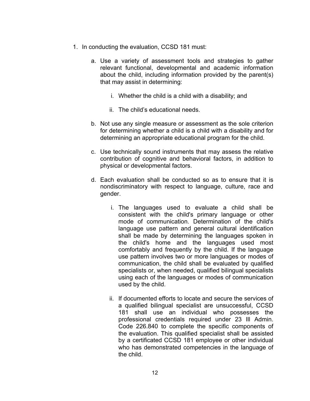- 1. In conducting the evaluation, CCSD 181 must:
	- a. Use a variety of assessment tools and strategies to gather relevant functional, developmental and academic information about the child, including information provided by the parent(s) that may assist in determining:
		- i. Whether the child is a child with a disability; and
		- ii. The child's educational needs.
	- b. Not use any single measure or assessment as the sole criterion for determining whether a child is a child with a disability and for determining an appropriate educational program for the child.
	- c. Use technically sound instruments that may assess the relative contribution of cognitive and behavioral factors, in addition to physical or developmental factors.
	- d. Each evaluation shall be conducted so as to ensure that it is nondiscriminatory with respect to language, culture, race and gender.
		- i. The languages used to evaluate a child shall be consistent with the child's primary language or other mode of communication. Determination of the child's language use pattern and general cultural identification shall be made by determining the languages spoken in the child's home and the languages used most comfortably and frequently by the child. If the language use pattern involves two or more languages or modes of communication, the child shall be evaluated by qualified specialists or, when needed, qualified bilingual specialists using each of the languages or modes of communication used by the child.
		- ii. If documented efforts to locate and secure the services of a qualified bilingual specialist are unsuccessful, CCSD 181 shall use an individual who possesses the professional credentials required under 23 Ill Admin. Code 226.840 to complete the specific components of the evaluation. This qualified specialist shall be assisted by a certificated CCSD 181 employee or other individual who has demonstrated competencies in the language of the child.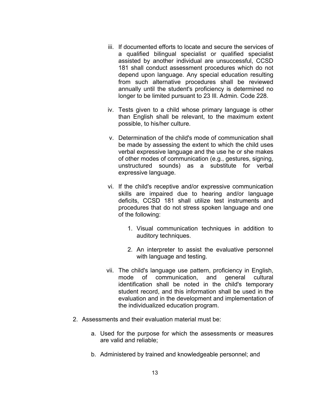- iii. If documented efforts to locate and secure the services of a qualified bilingual specialist or qualified specialist assisted by another individual are unsuccessful, CCSD 181 shall conduct assessment procedures which do not depend upon language. Any special education resulting from such alternative procedures shall be reviewed annually until the student's proficiency is determined no longer to be limited pursuant to 23 Ill. Admin. Code 228.
- iv. Tests given to a child whose primary language is other than English shall be relevant, to the maximum extent possible, to his/her culture.
- v. Determination of the child's mode of communication shall be made by assessing the extent to which the child uses verbal expressive language and the use he or she makes of other modes of communication (e.g., gestures, signing, unstructured sounds) as a substitute for verbal expressive language.
- vi. If the child's receptive and/or expressive communication skills are impaired due to hearing and/or language deficits, CCSD 181 shall utilize test instruments and procedures that do not stress spoken language and one of the following:
	- 1. Visual communication techniques in addition to auditory techniques.
	- 2. An interpreter to assist the evaluative personnel with language and testing.
- vii. The child's language use pattern, proficiency in English, mode of communication, and general cultural identification shall be noted in the child's temporary student record, and this information shall be used in the evaluation and in the development and implementation of the individualized education program.
- 2. Assessments and their evaluation material must be:
	- a. Used for the purpose for which the assessments or measures are valid and reliable;
	- b. Administered by trained and knowledgeable personnel; and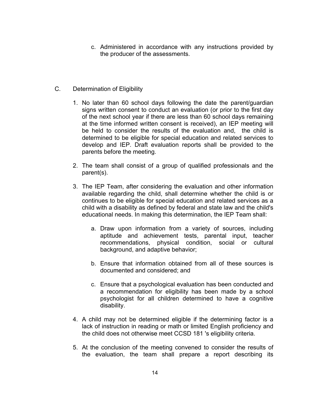- c. Administered in accordance with any instructions provided by the producer of the assessments.
- C. Determination of Eligibility
	- 1. No later than 60 school days following the date the parent/guardian signs written consent to conduct an evaluation (or prior to the first day of the next school year if there are less than 60 school days remaining at the time informed written consent is received), an IEP meeting will be held to consider the results of the evaluation and, the child is determined to be eligible for special education and related services to develop and IEP. Draft evaluation reports shall be provided to the parents before the meeting.
	- 2. The team shall consist of a group of qualified professionals and the parent(s).
	- 3. The IEP Team, after considering the evaluation and other information available regarding the child, shall determine whether the child is or continues to be eligible for special education and related services as a child with a disability as defined by federal and state law and the child's educational needs. In making this determination, the IEP Team shall:
		- a. Draw upon information from a variety of sources, including aptitude and achievement tests, parental input, teacher recommendations, physical condition, social or cultural background, and adaptive behavior;
		- b. Ensure that information obtained from all of these sources is documented and considered; and
		- c. Ensure that a psychological evaluation has been conducted and a recommendation for eligibility has been made by a school psychologist for all children determined to have a cognitive disability.
	- 4. A child may not be determined eligible if the determining factor is a lack of instruction in reading or math or limited English proficiency and the child does not otherwise meet CCSD 181 's eligibility criteria.
	- 5. At the conclusion of the meeting convened to consider the results of the evaluation, the team shall prepare a report describing its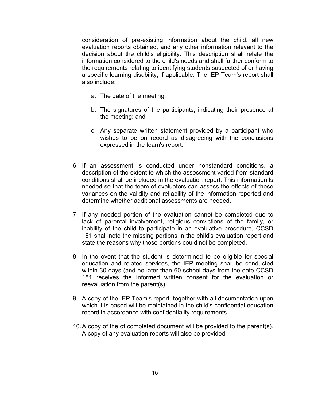consideration of pre-existing information about the child, all new evaluation reports obtained, and any other information relevant to the decision about the child's eligibility. This description shall relate the information considered to the child's needs and shall further conform to the requirements relating to identifying students suspected of or having a specific learning disability, if applicable. The IEP Team's report shall also include:

- a. The date of the meeting;
- b. The signatures of the participants, indicating their presence at the meeting; and
- c. Any separate written statement provided by a participant who wishes to be on record as disagreeing with the conclusions expressed in the team's report.
- 6. If an assessment is conducted under nonstandard conditions, a description of the extent to which the assessment varied from standard conditions shall be included in the evaluation report. This information ls needed so that the team of evaluators can assess the effects of these variances on the validity and reliability of the information reported and determine whether additional assessments are needed.
- 7. If any needed portion of the evaluation cannot be completed due to lack of parental involvement, religious convictions of the family, or inability of the child to participate in an evaluative procedure, CCSD 181 shall note the missing portions in the child's evaluation report and state the reasons why those portions could not be completed.
- 8. In the event that the student is determined to be eligible for special education and related services, the IEP meeting shall be conducted within 30 days (and no later than 60 school days from the date CCSD 181 receives the Informed written consent for the evaluation or reevaluation from the parent(s).
- 9. A copy of the IEP Team's report, together with all documentation upon which it is based will be maintained in the child's confidential education record in accordance with confidentiality requirements.
- 10.A copy of the of completed document will be provided to the parent(s). A copy of any evaluation reports will also be provided.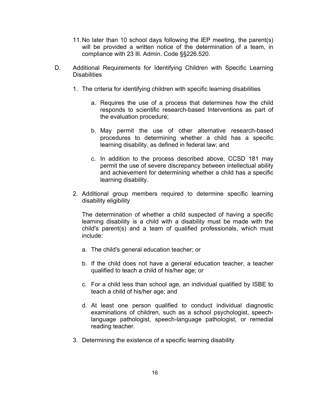- 11.No later than 10 school days following the lEP meeting, the parent(s) will be provided a written notice of the determination of a team, in compliance with 23 Ill. Admin. Code §§226.520.
- D. Additional Requirements for Identifying Children with Specific Learning **Disabilities** 
	- 1. The criteria for identifying children with specific learning disabilities
		- a. Requires the use of a process that determines how the child responds to scientific research-based Interventions as part of the evaluation procedure;
		- b. May permit the use of other alternative research-based procedures to determining whether a child has a specific learning disability, as defined in federal law; and
		- c. In addition to the process described above, CCSD 181 may permit the use of severe discrepancy between intellectual ability and achievement for determining whether a child has a specific learning disability.
	- 2. Additional group members required to determine specific learning disability eligibility

The determination of whether a child suspected of having a specific learning disability is a child with a disability must be made with the child's parent(s) and a team of qualified professionals, which must include:

- a. The child's general education teacher; or
- b. If the child does not have a general education teacher, a teacher qualified to teach a child of his/her age; or
- c. For a child less than school age, an individual qualified by ISBE to teach a child of his/her age; and
- d. At least one person qualified to conduct individual diagnostic examinations of children, such as a school psychologist, speechlanguage pathologist, speech-language pathologist, or remedial reading teacher.
- 3. Determining the existence of a specific learning disability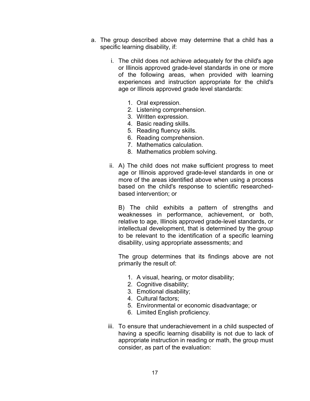- a. The group described above may determine that a child has a specific learning disability, if:
	- i. The child does not achieve adequately for the child's age or Illinois approved grade-level standards in one or more of the following areas, when provided with learning experiences and instruction appropriate for the child's age or Illinois approved grade level standards:
		- 1. Oral expression.
		- 2. Listening comprehension.
		- 3. Written expression.
		- 4. Basic reading skills.
		- 5. Reading fluency skills.
		- 6. Reading comprehension.
		- 7. Mathematics calculation.
		- 8. Mathematics problem solving.
	- ii. A) The child does not make sufficient progress to meet age or Illinois approved grade-level standards in one or more of the areas identified above when using a process based on the child's response to scientific researchedbased intervention; or

B) The child exhibits a pattern of strengths and weaknesses in performance, achievement, or both, relative to age, Illinois approved grade-level standards, or intellectual development, that is determined by the group to be relevant to the identification of a specific learning disability, using appropriate assessments; and

The group determines that its findings above are not primarily the result of:

- 1. A visual, hearing, or motor disability;
- 2. Cognitive disability;
- 3. Emotional disability;
- 4. Cultural factors;
- 5. Environmental or economic disadvantage; or
- 6. Limited English proficiency.
- iii. To ensure that underachievement in a child suspected of having a specific learning disability is not due to lack of appropriate instruction in reading or math, the group must consider, as part of the evaluation: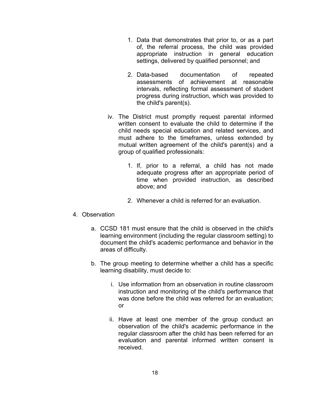- 1. Data that demonstrates that prior to, or as a part of, the referral process, the child was provided appropriate instruction in general education settings, delivered by qualified personnel; and
- 2. Data-based documentation of repeated assessments of achievement at reasonable intervals, reflecting formal assessment of student progress during instruction, which was provided to the child's parent(s).
- iv. The District must promptly request parental informed written consent to evaluate the child to determine if the child needs special education and related services, and must adhere to the timeframes, unless extended by mutual written agreement of the child's parent(s) and a group of qualified professionals:
	- 1. If, prior to a referral, a child has not made adequate progress after an appropriate period of time when provided instruction, as described above; and
	- 2. Whenever a child is referred for an evaluation.

#### 4. Observation

- a. CCSD 181 must ensure that the child is observed in the child's learning environment (including the regular classroom setting) to document the child's academic performance and behavior in the areas of difficulty.
- b. The group meeting to determine whether a child has a specific learning disability, must decide to:
	- i. Use information from an observation in routine classroom instruction and monitoring of the child's performance that was done before the child was referred for an evaluation; or
	- ii. Have at least one member of the group conduct an observation of the child's academic performance in the regular classroom after the child has been referred for an evaluation and parental informed written consent is received.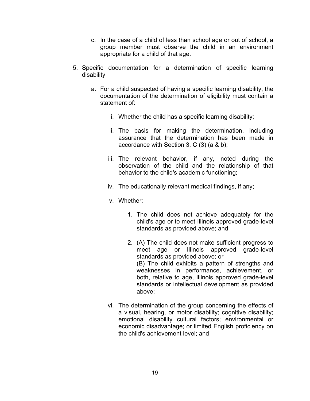- c. In the case of a child of less than school age or out of school, a group member must observe the child in an environment appropriate for a child of that age.
- 5. Specific documentation for a determination of specific learning disability
	- a. For a child suspected of having a specific learning disability, the documentation of the determination of eligibility must contain a statement of:
		- i. Whether the child has a specific learning disability;
		- ii. The basis for making the determination, including assurance that the determination has been made in accordance with Section 3, C (3) (a & b);
		- iii. The relevant behavior, if any, noted during the observation of the child and the relationship of that behavior to the child's academic functioning;
		- iv. The educationally relevant medical findings, if any;
		- v. Whether:
			- 1. The child does not achieve adequately for the child's age or to meet Illinois approved grade-level standards as provided above; and
			- 2. (A) The child does not make sufficient progress to meet age or Illinois approved grade-level standards as provided above; or (B) The child exhibits a pattern of strengths and weaknesses in performance, achievement, or both, relative to age, Illinois approved grade-level standards or intellectual development as provided above;
		- vi. The determination of the group concerning the effects of a visual, hearing, or motor disability; cognitive disability; emotional disability cultural factors; environmental or economic disadvantage; or limited English proficiency on the child's achievement level; and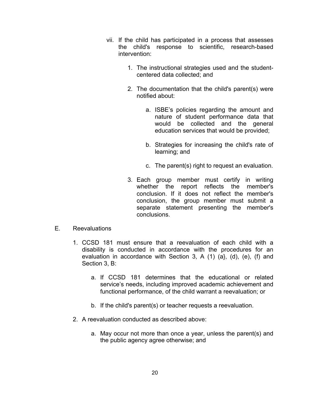- vii. If the child has participated in a process that assesses the child's response to scientific, research-based intervention:
	- 1. The instructional strategies used and the studentcentered data collected; and
	- 2. The documentation that the child's parent(s) were notified about:
		- a. ISBE's policies regarding the amount and nature of student performance data that would be collected and the general education services that would be provided;
		- b. Strategies for increasing the child's rate of learning; and
		- c. The parent(s) right to request an evaluation.
	- 3. Each group member must certify in writing whether the report reflects the member's conclusion. If it does not reflect the member's conclusion, the group member must submit a separate statement presenting the member's conclusions.
- E. Reevaluations
	- 1. CCSD 181 must ensure that a reevaluation of each child with a disability is conducted in accordance with the procedures for an evaluation in accordance with Section 3, A (1) (a}, (d), (e), (f) and Section 3, B:
		- a. If CCSD 181 determines that the educational or related service's needs, including improved academic achievement and functional performance, of the child warrant a reevaluation; or
		- b. If the child's parent(s) or teacher requests a reevaluation.
	- 2. A reevaluation conducted as described above:
		- a. May occur not more than once a year, unless the parent(s) and the public agency agree otherwise; and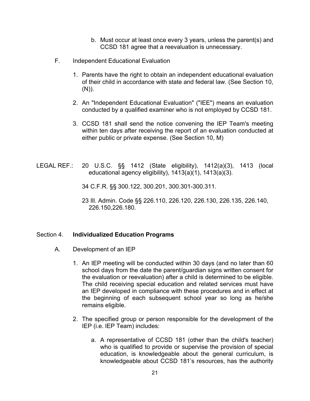- b. Must occur at least once every 3 years, unless the parent(s) and CCSD 181 agree that a reevaluation is unnecessary.
- F. Independent Educational Evaluation
	- 1. Parents have the right to obtain an independent educational evaluation of their child in accordance with state and federal law. (See Section 10,  $(N)$ ).
	- 2. An "Independent Educational Evaluation" ("IEE") means an evaluation conducted by a qualified examiner who is not employed by CCSD 181.
	- 3. CCSD 181 shall send the notice convening the IEP Team's meeting within ten days after receiving the report of an evaluation conducted at either public or private expense. (See Section 10, M)
- LEGAL REF.: 20 U.S.C. §§ 1412 (State eligibility), 1412(a)(3), 1413 (local educational agency eligibility), 1413(a)(1), 1413(a)(3).

34 C.F.R. §§ 300.122, 300.201, 300.301-300.311.

23 Ill. Admin. Code §§ 226.110, 226.120, 226.130, 226.135, 226.140, 226.150,226.180.

#### Section 4. **Individualized Education Programs**

- A. Development of an IEP
	- 1. An IEP meeting will be conducted within 30 days (and no later than 60 school days from the date the parent/guardian signs written consent for the evaluation or reevaluation) after a child is determined to be eligible. The child receiving special education and related services must have an IEP developed in compliance with these procedures and in effect at the beginning of each subsequent school year so long as he/she remains eligible.
	- 2. The specified group or person responsible for the development of the IEP (i.e. lEP Team) includes:
		- a. A representative of CCSD 181 (other than the child's teacher) who is qualified to provide or supervise the provision of special education, is knowledgeable about the general curriculum, is knowledgeable about CCSD 181's resources, has the authority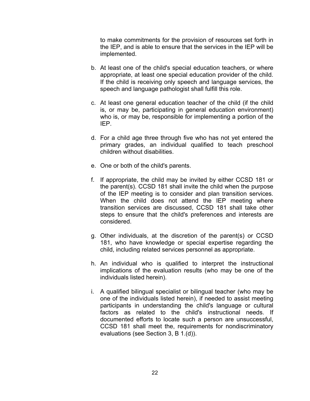to make commitments for the provision of resources set forth in the IEP, and is able to ensure that the services in the IEP will be implemented.

- b. At least one of the child's special education teachers, or where appropriate, at least one special education provider of the child. If the child is receiving only speech and language services, the speech and language pathologist shall fulfill this role.
- c. At least one general education teacher of the child (if the child is, or may be, participating in general education environment) who is, or may be, responsible for implementing a portion of the IEP.
- d. For a child age three through five who has not yet entered the primary grades, an individual qualified to teach preschool children without disabilities.
- e. One or both of the child's parents.
- f. If appropriate, the child may be invited by either CCSD 181 or the parent(s). CCSD 181 shall invite the child when the purpose of the IEP meeting is to consider and plan transition services. When the child does not attend the IEP meeting where transition services are discussed, CCSD 181 shall take other steps to ensure that the child's preferences and interests are considered.
- g. Other individuals, at the discretion of the parent(s) or CCSD 181, who have knowledge or special expertise regarding the child, including related services personnel as appropriate.
- h. An individual who is qualified to interpret the instructional implications of the evaluation results (who may be one of the individuals listed herein).
- i. A qualified bilingual specialist or bilingual teacher (who may be one of the individuals listed herein), if needed to assist meeting participants in understanding the child's language or cultural factors as related to the child's instructional needs. If documented efforts to locate such a person are unsuccessful, CCSD 181 shall meet the, requirements for nondiscriminatory evaluations (see Section 3, B 1.(d)).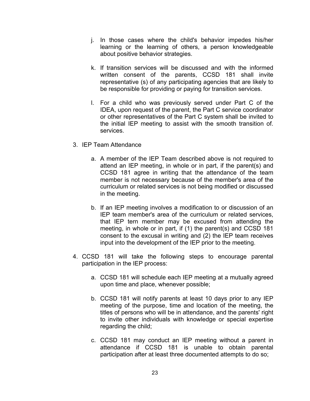- j. In those cases where the child's behavior impedes his/her learning or the learning of others, a person knowledgeable about positive behavior strategies.
- k. If transition services will be discussed and with the informed written consent of the parents, CCSD 181 shall invite representative (s) of any participating agencies that are likely to be responsible for providing or paying for transition services.
- l. For a child who was previously served under Part C of the IDEA, upon request of the parent, the Part C service coordinator or other representatives of the Part C system shall be invited to the initial IEP meeting to assist with the smooth transition of. services.
- 3. IEP Team Attendance
	- a. A member of the IEP Team described above is not required to attend an IEP meeting, in whole or in part, if the parent(s) and CCSD 181 agree in writing that the attendance of the team member is not necessary because of the member's area of the curriculum or related services is not being modified or discussed in the meeting.
	- b. If an IEP meeting involves a modification to or discussion of an IEP team member's area of the curriculum or related services, that IEP tern member may be excused from attending the meeting, in whole or in part, if (1) the parent(s) and CCSD 181 consent to the excusal in writing and (2) the IEP team receives input into the development of the IEP prior to the meeting.
- 4. CCSD 181 will take the following steps to encourage parental participation in the IEP process:
	- a. CCSD 181 will schedule each IEP meeting at a mutually agreed upon time and place, whenever possible;
	- b. CCSD 181 will notify parents at least 10 days prior to any IEP meeting of the purpose, time and location of the meeting, the titles of persons who will be in attendance, and the parents' right to invite other individuals with knowledge or special expertise regarding the child;
	- c. CCSD 181 may conduct an IEP meeting without a parent in attendance if CCSD 181 is unable to obtain parental participation after at least three documented attempts to do so;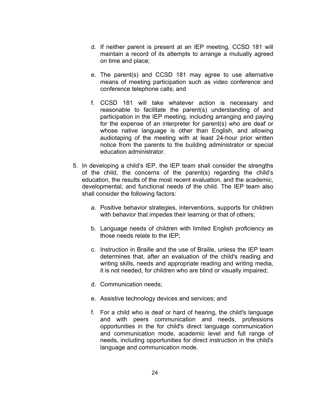- d. If neither parent is present at an IEP meeting, CCSD 181 will maintain a record of its attempts to arrange a mutually agreed on time and place;
- e. The parent(s) and CCSD 181 may agree to use alternative means of meeting participation such as video conference and conference telephone calls; and
- f. CCSD 181 will take whatever action is necessary and reasonable to facilitate the parent(s) understanding of and participation in the IEP meeting, including arranging and paying for the expense of an interpreter for parent(s) who are deaf or whose native language is other than English, and allowing audiotaping of the meeting with at least 24-hour prior written notice from the parents to the building administrator or special education administrator.
- 5. In developing a child's IEP, the IEP team shall consider the strengths of the child, the concerns of the parent(s) regarding the child's education, the results of the most recent evaluation, and the academic, developmental, and functional needs of the child. The IEP team also shall consider the following factors:
	- a. Positive behavior strategies, interventions, supports for children with behavior that impedes their learning or that of others;
	- b. Language needs of children with limited English proficiency as those needs relate to the IEP;
	- c. Instruction in Braille and the use of Braille, unless the IEP team determines that, after an evaluation of the child's reading and writing skills, needs and appropriate reading and writing media, it is not needed, for children who are blind or visually impaired;
	- d. Communication needs;
	- e. Assistive technology devices and services; and
	- f. For a child who is deaf or hard of hearing, the child's language and with peers communication and needs, professions opportunities in the for child's direct language communication and communication mode, academic level and full range of needs, including opportunities for direct instruction in the child's language and communication mode.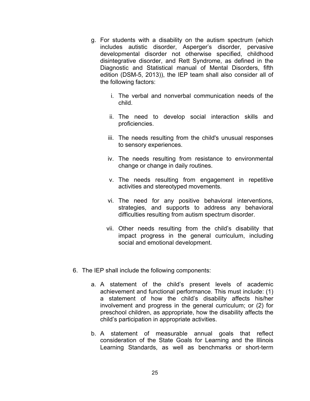- g. For students with a disability on the autism spectrum (which includes autistic disorder, Asperger's disorder, pervasive developmental disorder not otherwise specified, childhood disintegrative disorder, and Rett Syndrome, as defined in the Diagnostic and Statistical manual of Mental Disorders, fifth edition (DSM-5, 2013)), the IEP team shall also consider all of the following factors:
	- i. The verbal and nonverbal communication needs of the child.
	- ii. The need to develop social interaction skills and proficiencies.
	- iii. The needs resulting from the child's unusual responses to sensory experiences.
	- iv. The needs resulting from resistance to environmental change or change in daily routines.
	- v. The needs resulting from engagement in repetitive activities and stereotyped movements.
	- vi. The need for any positive behavioral interventions, strategies, and supports to address any behavioral difficulties resulting from autism spectrum disorder.
	- vii. Other needs resulting from the child's disability that impact progress in the general curriculum, including social and emotional development.
- 6. The IEP shall include the following components:
	- a. A statement of the child's present levels of academic achievement and functional performance. This must include: (1) a statement of how the child's disability affects his/her involvement and progress in the general curriculum; or (2) for preschool children, as appropriate, how the disability affects the child's participation in appropriate activities.
	- b. A statement of measurable annual goals that reflect consideration of the State Goals for Learning and the Illinois Learning Standards, as well as benchmarks or short-term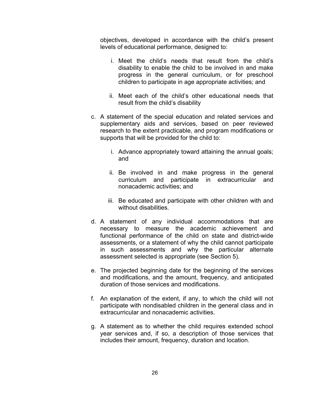objectives, developed in accordance with the child's present levels of educational performance, designed to:

- i. Meet the child's needs that result from the child's disability to enable the child to be involved in and make progress in the general curriculum, or for preschool children to participate in age appropriate activities; and
- ii. Meet each of the child's other educational needs that result from the child's disability
- c. A statement of the special education and related services and supplementary aids and services, based on peer reviewed research to the extent practicable, and program modifications or supports that will be provided for the child to:
	- i. Advance appropriately toward attaining the annual goals; and
	- ii. Be involved in and make progress in the general curriculum and participate in extracurricular and nonacademic activities; and
	- iii. Be educated and participate with other children with and without disabilities.
- d. A statement of any individual accommodations that are necessary to measure the academic achievement and functional performance of the child on state and district-wide assessments, or a statement of why the child cannot participate in such assessments and why the particular alternate assessment selected is appropriate (see Section 5).
- e. The projected beginning date for the beginning of the services and modifications, and the amount, frequency, and anticipated duration of those services and modifications.
- f. An explanation of the extent, if any, to which the child will not participate with nondisabled children in the general class and in extracurricular and nonacademic activities.
- g. A statement as to whether the child requires extended school year services and, if so, a description of those services that includes their amount, frequency, duration and location.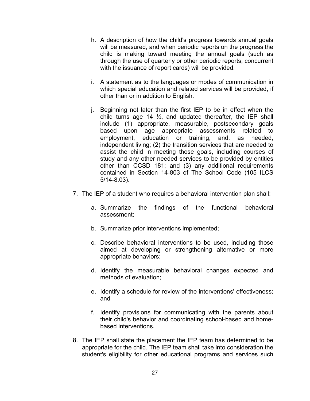- h. A description of how the child's progress towards annual goals will be measured, and when periodic reports on the progress the child is making toward meeting the annual goals (such as through the use of quarterly or other periodic reports, concurrent with the issuance of report cards) will be provided.
- i. A statement as to the languages or modes of communication in which special education and related services will be provided, if other than or in addition to English.
- j. Beginning not later than the first IEP to be in effect when the child turns age 14  $\frac{1}{2}$ , and updated thereafter, the IEP shall include (1) appropriate, measurable, postsecondary goals based upon age appropriate assessments related to employment, education or training, and, as needed, independent living; (2) the transition services that are needed to assist the child in meeting those goals, including courses of study and any other needed services to be provided by entities other than CCSD 181; and (3) any additional requirements contained in Section 14-803 of The School Code (105 ILCS 5/14-8.03).
- 7. The IEP of a student who requires a behavioral intervention plan shall:
	- a. Summarize the findings of the functional behavioral assessment;
	- b. Summarize prior interventions implemented;
	- c. Describe behavioral interventions to be used, including those aimed at developing or strengthening alternative or more appropriate behaviors;
	- d. Identify the measurable behavioral changes expected and methods of evaluation;
	- e. Identify a schedule for review of the interventions' effectiveness; and
	- f. Identify provisions for communicating with the parents about their child's behavior and coordinating school-based and homebased interventions.
- 8. The IEP shall state the placement the IEP team has determined to be appropriate for the child. The IEP team shall take into consideration the student's eligibility for other educational programs and services such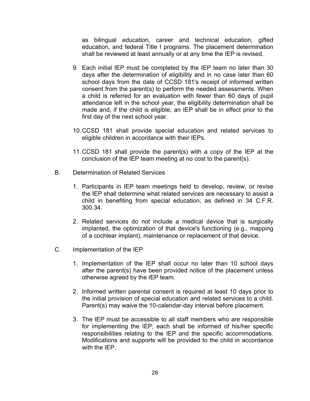as bilingual education, career and technical education, gifted education, and federal Title I programs. The placement determination shall be reviewed at least annually or at any time the IEP is revised.

- 9. Each initial IEP must be completed by the IEP team no later than 30 days after the determination of eligibility and in no case later than 60 school days from the date of CCSD 181's receipt of informed written consent from the parent(s) to perform the needed assessments. When a child is referred for an evaluation with fewer than 60 days of pupil attendance left in the school year, the eligibility determination shall be made and, if the child is eligible, an IEP shall be in effect prior to the first day of the next school year.
- 10.CCSD 181 shall provide special education and related services to eligible children in accordance with their IEPs.
- 11.CCSD 181 shall provide the parent(s) with a copy of the IEP at the conclusion of the IEP team meeting at no cost to the parent(s).
- B. Determination of Related Services
	- 1. Participants in IEP team meetings held to develop, review, or revise the IEP shall determine what related services are necessary to assist a child in benefiting from special education, as defined in 34 C.F.R. 300.34.
	- 2. Related services do not include a medical device that is surgically implanted, the optimization of that device's functioning (e.g., mapping of a cochlear implant), maintenance or replacement of that device.
- C. Implementation of the IEP
	- 1. Implementation of the IEP shall occur no later than 10 school days after the parent(s) have been provided notice of the placement unless otherwise agreed by the IEP team.
	- 2. Informed written parental consent is required at least 10 days prior to the initial provision of special education and related services to a child. Parent(s) may waive the 10-calendar-day interval before placement.
	- 3. The IEP must be accessible to all staff members who are responsible for implementing the IEP; each shall be informed of his/her specific responsibilities relating to the IEP and the specific accommodations. Modifications and supports will be provided to the child in accordance with the **IFP**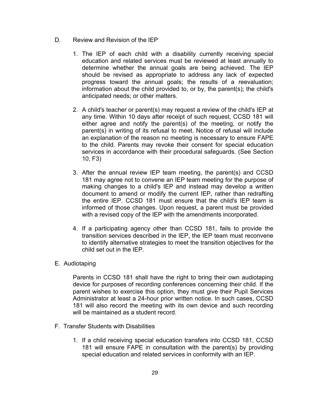- D. Review and Revision of the IEP
	- 1. The IEP of each child with a disability currently receiving special education and related services must be reviewed at least annually to determine whether the annual goals are being achieved. The IEP should be revised as appropriate to address any lack of expected progress toward the annual goals; the results of a reevaluation; information about the child provided to, or by, the parent(s); the child's anticipated needs; or other matters.
	- 2. A child's teacher or parent(s) may request a review of the child's IEP at any time. Within 10 days after receipt of such request, CCSD 181 will either agree and notify the parent(s) of the meeting, or notify the parent(s) in writing of its refusal to meet. Notice of refusal will include an explanation of the reason no meeting is necessary to ensure FAPE to the child. Parents may revoke their consent for special education services in accordance with their procedural safeguards. (See Section 10, F3)
	- 3. After the annual review IEP team meeting, the parent(s) and CCSD 181 may agree not to convene an IEP team meeting for the purpose of making changes to a child's IEP and instead may develop a written document to amend or modify the current IEP, rather than redrafting the entire IEP. CCSD 181 must ensure that the child's IEP team is informed of those changes. Upon request, a parent must be provided with a revised copy of the IEP with the amendments incorporated.
	- 4. If a participating agency other than CCSD 181, fails to provide the transition services described in the IEP, the IEP team must reconvene to identify alternative strategies to meet the transition objectives for the child set out in the IEP.
- E. Audiotaping

Parents in CCSD 181 shall have the right to bring their own audiotaping device for purposes of recording conferences concerning their child. If the parent wishes to exercise this option, they must give their Pupil Services Administrator at least a 24-hour prior written notice. In such cases, CCSD 181 will also record the meeting with its own device and such recording will be maintained as a student record.

- F. Transfer Students with Disabilities
	- 1. If a child receiving special education transfers into CCSD 181, CCSD 181 will ensure FAPE in consultation with the parent(s) by providing special education and related services in conformity with an IEP.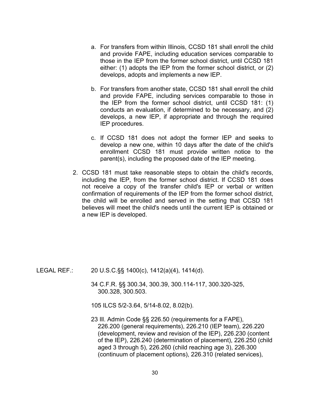- a. For transfers from within Illinois, CCSD 181 shall enroll the child and provide FAPE, including education services comparable to those in the IEP from the former school district, until CCSD 181 either: (1) adopts the IEP from the former school district, or (2) develops, adopts and implements a new IEP.
- b. For transfers from another state, CCSD 181 shall enroll the child and provide FAPE, including services comparable to those in the IEP from the former school district, until CCSD 181: (1) conducts an evaluation, if determined to be necessary, and (2) develops, a new IEP, if appropriate and through the required IEP procedures.
- c. If CCSD 181 does not adopt the former IEP and seeks to develop a new one, within 10 days after the date of the child's enrollment CCSD 181 must provide written notice to the parent(s), including the proposed date of the IEP meeting.
- 2. CCSD 181 must take reasonable steps to obtain the child's records, including the IEP, from the former school district. If CCSD 181 does not receive a copy of the transfer child's IEP or verbal or written confirmation of requirements of the IEP from the former school district, the child will be enrolled and served in the setting that CCSD 181 believes will meet the child's needs until the current IEP is obtained or a new IEP is developed.

- LEGAL REF.: 20 U.S.C.§§ 1400(c), 1412(a)(4), 1414(d).
	- 34 C.F.R. §§ 300.34, 300.39, 300.114-117, 300.320-325, 300.328, 300.503.

105 ILCS 5/2-3.64, 5/14-8.02, 8.02(b).

23 Ill. Admin Code §§ 226.50 (requirements for a FAPE), 226.200 (general requirements), 226.210 (IEP team), 226.220 (development, review and revision of the IEP), 226.230 (content of the IEP), 226.240 (determination of placement), 226.250 (child aged 3 through 5), 226.260 (child reaching age 3), 226.300 (continuum of placement options), 226.310 (related services),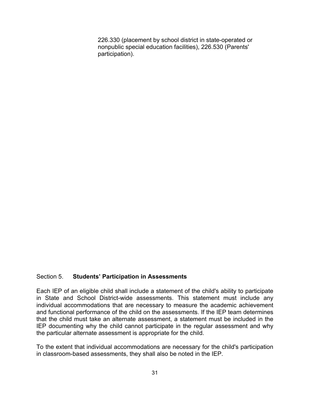226.330 (placement by school district in state-operated or nonpublic special education facilities), 226.530 (Parents' participation).

#### Section 5. **Students' Participation in Assessments**

Each IEP of an eligible child shall include a statement of the child's ability to participate in State and School District-wide assessments. This statement must include any individual accommodations that are necessary to measure the academic achievement and functional performance of the child on the assessments. If the IEP team determines that the child must take an alternate assessment, a statement must be included in the IEP documenting why the child cannot participate in the regular assessment and why the particular alternate assessment is appropriate for the child.

To the extent that individual accommodations are necessary for the child's participation in classroom-based assessments, they shall also be noted in the IEP.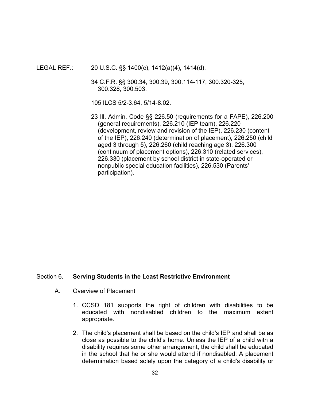LEGAL REF.: 20 U.S.C. §§ 1400(c), 1412(a)(4), 1414(d).

34 C.F.R. §§ 300.34, 300.39, 300.114-117, 300.320-325, 300.328, 300.503.

105 ILCS 5/2-3.64, 5/14-8.02.

23 Ill. Admin. Code §§ 226.50 (requirements for a FAPE), 226.200 (general requirements), 226.210 (IEP team), 226.220 (development, review and revision of the IEP), 226.230 (content of the IEP), 226.240 (determination of placement), 226.250 (child aged 3 through 5), 226.260 (child reaching age 3), 226.300 (continuum of placement options), 226.310 (related services), 226.330 (placement by school district in state-operated or nonpublic special education facilities), 226.530 (Parents' participation).

#### Section 6. **Serving Students in the Least Restrictive Environment**

- A. Overview of Placement
	- 1. CCSD 181 supports the right of children with disabilities to be educated with nondisabled children to the maximum extent appropriate.
	- 2. The child's placement shall be based on the child's IEP and shall be as close as possible to the child's home. Unless the IEP of a child with a disability requires some other arrangement, the child shall be educated in the school that he or she would attend if nondisabled. A placement determination based solely upon the category of a child's disability or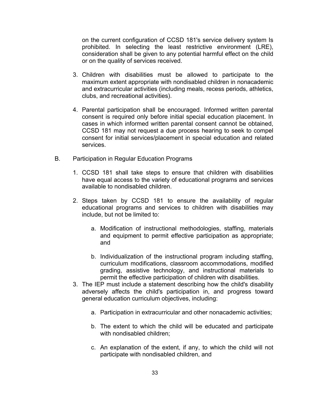on the current configuration of CCSD 181's service delivery system Is prohibited. In selecting the least restrictive environment (LRE), consideration shall be given to any potential harmful effect on the child or on the quality of services received.

- 3. Children with disabilities must be allowed to participate to the maximum extent appropriate with nondisabled children in nonacademic and extracurricular activities (including meals, recess periods, athletics, clubs, and recreational activities).
- 4. Parental participation shall be encouraged. Informed written parental consent is required only before initial special education placement. In cases in which informed written parental consent cannot be obtained, CCSD 181 may not request a due process hearing to seek to compel consent for initial services/placement in special education and related services.
- B. Participation in Regular Education Programs
	- 1. CCSD 181 shall take steps to ensure that children with disabilities have equal access to the variety of educational programs and services available to nondisabled children.
	- 2. Steps taken by CCSD 181 to ensure the availability of regular educational programs and services to children with disabilities may include, but not be limited to:
		- a. Modification of instructional methodologies, staffing, materials and equipment to permit effective participation as appropriate; and
		- b. Individualization of the instructional program including staffing, curriculum modifications, classroom accommodations, modified grading, assistive technology, and instructional materials to permit the effective participation of children with disabilities.
	- 3. The IEP must include a statement describing how the child's disability adversely affects the child's participation in, and progress toward general education curriculum objectives, including:
		- a. Participation in extracurricular and other nonacademic activities;
		- b. The extent to which the child will be educated and participate with nondisabled children;
		- c. An explanation of the extent, if any, to which the child will not participate with nondisabled children, and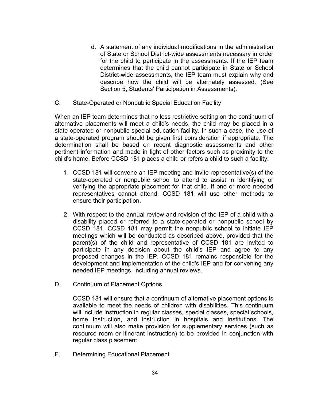- d. A statement of any individual modifications in the administration of State or School District-wide assessments necessary in order for the child to participate in the assessments. If the IEP team determines that the child cannot participate in State or School District-wide assessments, the IEP team must explain why and describe how the child will be alternately assessed. (See Section 5, Students' Participation in Assessments).
- C. State-Operated or Nonpublic Special Education Facility

When an IEP team determines that no less restrictive setting on the continuum of alternative placements will meet a child's needs, the child may be placed in a state-operated or nonpublic special education facility. In such a case, the use of a state-operated program should be given first consideration if appropriate. The determination shall be based on recent diagnostic assessments and other pertinent information and made in light of other factors such as proximity to the child's home. Before CCSD 181 places a child or refers a child to such a facility:

- 1. CCSD 181 will convene an IEP meeting and invite representative(s) of the state-operated or nonpublic school to attend to assist in identifying or verifying the appropriate placement for that child. If one or more needed representatives cannot attend, CCSD 181 will use other methods to ensure their participation.
- 2. With respect to the annual review and revision of the IEP of a child with a disability placed or referred to a state-operated or nonpublic school by CCSD 181, CCSD 181 may permit the nonpublic school to initiate IEP meetings which will be conducted as described above, provided that the parent(s) of the child and representative of CCSD 181 are invited to participate in any decision about the child's IEP and agree to any proposed changes in the IEP. CCSD 181 remains responsible for the development and implementation of the child's IEP and for convening any needed IEP meetings, including annual reviews.
- D. Continuum of Placement Options

CCSD 181 will ensure that a continuum of alternative placement options is available to meet the needs of children with disabilities. This continuum will include instruction in regular classes, special classes, special schools, home instruction, and instruction in hospitals and institutions. The continuum will also make provision for supplementary services (such as resource room or itinerant instruction) to be provided in conjunction with regular class placement.

E. Determining Educational Placement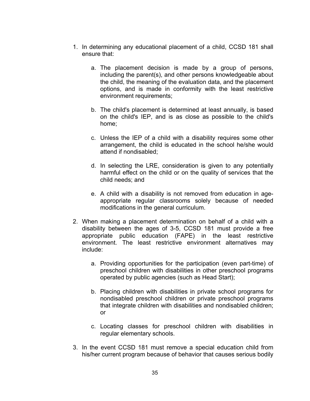- 1. In determining any educational placement of a child, CCSD 181 shall ensure that:
	- a. The placement decision is made by a group of persons, including the parent(s), and other persons knowledgeable about the child, the meaning of the evaluation data, and the placement options, and is made in conformity with the least restrictive environment requirements;
	- b. The child's placement is determined at least annually, is based on the child's IEP, and is as close as possible to the child's home;
	- c. Unless the IEP of a child with a disability requires some other arrangement, the child is educated in the school he/she would attend if nondisabled;
	- d. In selecting the LRE, consideration is given to any potentially harmful effect on the child or on the quality of services that the child needs; and
	- e. A child with a disability is not removed from education in ageappropriate regular classrooms solely because of needed modifications in the general curriculum.
- 2. When making a placement determination on behalf of a child with a disability between the ages of 3-5, CCSD 181 must provide a free appropriate public education (FAPE) in the least restrictive environment. The least restrictive environment alternatives may include:
	- a. Providing opportunities for the participation (even part-time) of preschool children with disabilities in other preschool programs operated by public agencies (such as Head Start);
	- b. Placing children with disabilities in private school programs for nondisabled preschool children or private preschool programs that integrate children with disabilities and nondisabled children; or
	- c. Locating classes for preschool children with disabilities in regular elementary schools.
- 3. In the event CCSD 181 must remove a special education child from his/her current program because of behavior that causes serious bodily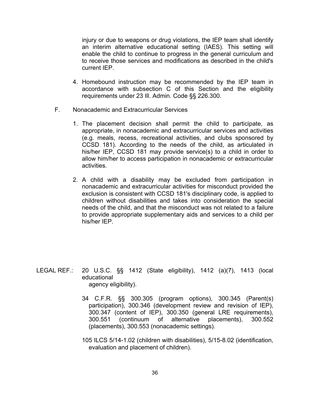injury or due to weapons or drug violations, the IEP team shall identify an interim alternative educational setting (IAES). This setting will enable the child to continue to progress in the general curriculum and to receive those services and modifications as described in the child's current IEP.

- 4. Homebound instruction may be recommended by the IEP team in accordance with subsection C of this Section and the eligibility requirements under 23 Ill. Admin. Code §§ 226.300.
- F. Nonacademic and Extracurricular Services
	- 1. The placement decision shall permit the child to participate, as appropriate, in nonacademic and extracurricular services and activities (e.g. meals, recess, recreational activities, and clubs sponsored by CCSD 181). According to the needs of the child, as articulated in his/her IEP, CCSD 181 may provide service(s) to a child in order to allow him/her to access participation in nonacademic or extracurricular activities.
	- 2. A child with a disability may be excluded from participation in nonacademic and extracurricular activities for misconduct provided the exclusion is consistent with CCSD 181's disciplinary code, is applied to children without disabilities and takes into consideration the special needs of the child, and that the misconduct was not related to a failure to provide appropriate supplementary aids and services to a child per his/her IEP.

- LEGAL REF.: 20 U.S.C. §§ 1412 (State eligibility), 1412 (a)(7), 1413 (local educational agency eligibility).
	- 34 C.F.R. §§ 300.305 (program options), 300.345 (Parent(s) participation), 300.346 (development review and revision of IEP), 300.347 (content of IEP), 300.350 (general LRE requirements), 300.551 (continuum of alternative placements), 300.552 (placements), 300.553 (nonacademic settings).
	- 105 ILCS 5/14-1.02 (children with disabilities), 5/15-8.02 (identification, evaluation and placement of children).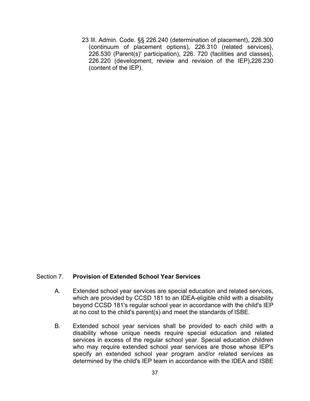23 Ill. Admin. Code. §§ 226.240 (determination of placement), 226.300 (continuum of placement options), 226.310 (related services}, 226.530 (Parent(s)' participation), 226. 720 (facilities and classes}, 226.220 (development, review and revision of the IEP),226.230 (content of the IEP).

#### Section 7. **Provision of Extended School Year Services**

- A. Extended school year services are special education and related services, which are provided by CCSD 181 to an IDEA-eligible child with a disability beyond CCSD 181's regular school year in accordance with the child's IEP at no cost to the child's parent(s) and meet the standards of ISBE.
- B. Extended school year services shall be provided to each child with a disability whose unique needs require special education and related services in excess of the regular school year. Special education children who may require extended school year services are those whose IEP's specify an extended school year program and/or related services as determined by the child's IEP team in accordance with the IDEA and ISBE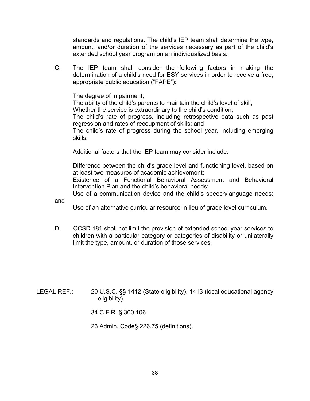standards and regulations. The child's IEP team shall determine the type, amount, and/or duration of the services necessary as part of the child's extended school year program on an individualized basis.

C. The IEP team shall consider the following factors in making the determination of a child's need for ESY services in order to receive a free, appropriate public education ("FAPE"):

The degree of impairment;

The ability of the child's parents to maintain the child's level of skill;

Whether the service is extraordinary to the child's condition;

The child's rate of progress, including retrospective data such as past regression and rates of recoupment of skills; and

The child's rate of progress during the school year, including emerging skills.

Additional factors that the IEP team may consider include:

Difference between the child's grade level and functioning level, based on at least two measures of academic achievement;

Existence of a Functional Behavioral Assessment and Behavioral Intervention Plan and the child's behavioral needs;

Use of a communication device and the child's speech/language needs;

and

Use of an alternative curricular resource in lieu of grade level curriculum.

D. CCSD 181 shall not limit the provision of extended school year services to children with a particular category or categories of disability or unilaterally limit the type, amount, or duration of those services.

LEGAL REF.: 20 U.S.C. §§ 1412 (State eligibility), 1413 (local educational agency eligibility).

34 C.F.R. § 300.106

23 Admin. Code§ 226.75 (definitions).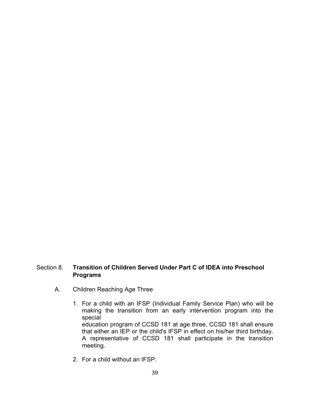# Section 8. **Transition of Children Served Under Part C of IDEA into Preschool Programs**

- A. Children Reaching Age Three
	- 1. For a child with an IFSP (Individual Family Service Plan) who will be making the transition from an early intervention program into the special education program of CCSD 181 at age three, CCSD 181 shall ensure that either an IEP or the child's IFSP in effect on his/her third birthday. A representative of CCSD 181 shall participate in the transition meeting.
	- 2. For a child without an IFSP: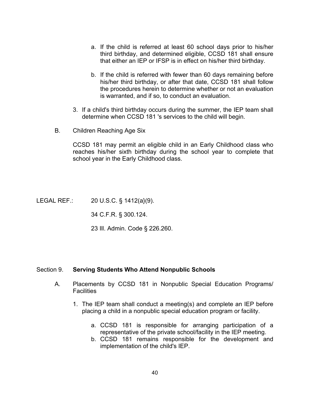- a. If the child is referred at least 60 school days prior to his/her third birthday, and determined eligible, CCSD 181 shall ensure that either an IEP or IFSP is in effect on his/her third birthday.
- b. If the child is referred with fewer than 60 days remaining before his/her third birthday, or after that date, CCSD 181 shall follow the procedures herein to determine whether or not an evaluation is warranted, and if so, to conduct an evaluation.
- 3. If a child's third birthday occurs during the summer, the IEP team shall determine when CCSD 181 's services to the child will begin.
- B. Children Reaching Age Six

CCSD 181 may permit an eligible child in an Early Childhood class who reaches his/her sixth birthday during the school year to complete that school year in the Early Childhood class.

LEGAL REF.: 20 U.S.C. § 1412(a}(9).

34 C.F.R. § 300.124.

23 Ill. Admin. Code § 226.260.

#### Section 9. **Serving Students Who Attend Nonpublic Schools**

- A. Placements by CCSD 181 in Nonpublic Special Education Programs/ **Facilities** 
	- 1. The IEP team shall conduct a meeting(s) and complete an IEP before placing a child in a nonpublic special education program or facility.
		- a. CCSD 181 is responsible for arranging participation of a representative of the private school/facility in the IEP meeting.
		- b. CCSD 181 remains responsible for the development and implementation of the child's IEP.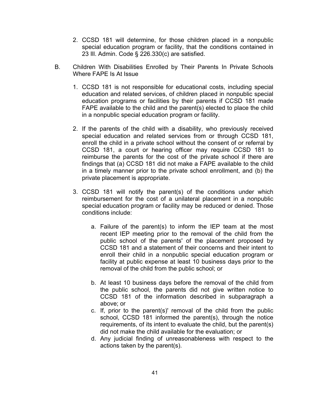- 2. CCSD 181 will determine, for those children placed in a nonpublic special education program or facility, that the conditions contained in 23 Ill. Admin. Code § 226.330(c) are satisfied.
- B. Children With Disabilities Enrolled by Their Parents In Private Schools Where FAPE Is At Issue
	- 1. CCSD 181 is not responsible for educational costs, including special education and related services, of children placed in nonpublic special education programs or facilities by their parents if CCSD 181 made FAPE available to the child and the parent(s) elected to place the child in a nonpublic special education program or facility.
	- 2. If the parents of the child with a disability, who previously received special education and related services from or through CCSD 181, enroll the child in a private school without the consent of or referral by CCSD 181, a court or hearing officer may require CCSD 181 to reimburse the parents for the cost of the private school if there are findings that (a) CCSD 181 did not make a FAPE available to the child in a timely manner prior to the private school enrollment, and (b) the private placement is appropriate.
	- 3. CCSD 181 will notify the parent(s) of the conditions under which reimbursement for the cost of a unilateral placement in a nonpublic special education program or facility may be reduced or denied. Those conditions include:
		- a. Failure of the parent(s) to inform the IEP team at the most recent IEP meeting prior to the removal of the child from the public school of the parents' of the placement proposed by CCSD 181 and a statement of their concerns and their intent to enroll their child in a nonpublic special education program or facility at public expense at least 10 business days prior to the removal of the child from the public school; or
		- b. At least 10 business days before the removal of the child from the public school, the parents did not give written notice to CCSD 181 of the information described in subparagraph a above; or
		- c. If, prior to the parent(s)' removal of the child from the public school, CCSD 181 informed the parent(s), through the notice requirements, of its intent to evaluate the child, but the parent(s) did not make the child available for the evaluation; or
		- d. Any judicial finding of unreasonableness with respect to the actions taken by the parent(s).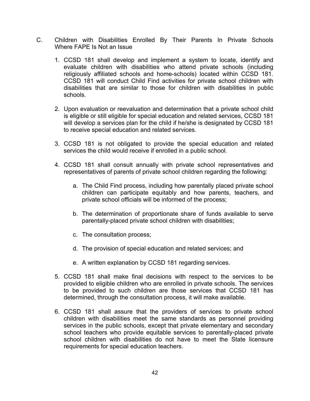- C. Children with Disabilities Enrolled By Their Parents In Private Schools Where FAPE Is Not an Issue
	- 1. CCSD 181 shall develop and implement a system to locate, identify and evaluate children with disabilities who attend private schools (including religiously affiliated schools and home-schools) located within CCSD 181. CCSD 181 will conduct Child Find activities for private school children with disabilities that are similar to those for children with disabilities in public schools.
	- 2. Upon evaluation or reevaluation and determination that a private school child is eligible or still eligible for special education and related services, CCSD 181 will develop a services plan for the child if he/she is designated by CCSD 181 to receive special education and related services.
	- 3. CCSD 181 is not obligated to provide the special education and related services the child would receive if enrolled in a public school.
	- 4. CCSD 181 shall consult annually with private school representatives and representatives of parents of private school children regarding the following:
		- a. The Child Find process, including how parentally placed private school children can participate equitably and how parents, teachers, and private school officials will be informed of the process;
		- b. The determination of proportionate share of funds available to serve parentally-placed private school children with disabilities;
		- c. The consultation process;
		- d. The provision of special education and related services; and
		- e. A written explanation by CCSD 181 regarding services.
	- 5. CCSD 181 shall make final decisions with respect to the services to be provided to eligible children who are enrolled in private schools. The services to be provided to such children are those services that CCSD 181 has determined, through the consultation process, it will make available.
	- 6. CCSD 181 shall assure that the providers of services to private school children with disabilities meet the same standards as personnel providing services in the public schools, except that private elementary and secondary school teachers who provide equitable services to parentally-placed private school children with disabilities do not have to meet the State licensure requirements for special education teachers.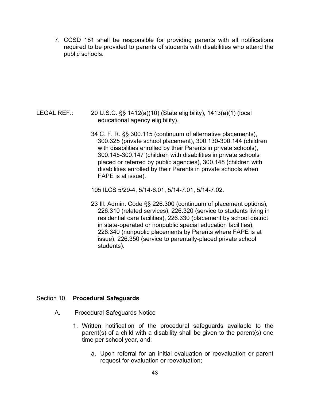7. CCSD 181 shall be responsible for providing parents with all notifications required to be provided to parents of students with disabilities who attend the public schools.

- LEGAL REF.: 20 U.S.C. §§ 1412(a)(10) (State eligibility), 1413(a)(1) (local educational agency eligibility).
	- 34 C. F. R. §§ 300.115 (continuum of alternative placements), 300.325 (private school placement), 300.130-300.144 (children with disabilities enrolled by their Parents in private schools), 300.145-300.147 (children with disabilities in private schools placed or referred by public agencies), 300.148 (children with disabilities enrolled by their Parents in private schools when FAPE is at issue).

105 ILCS 5/29-4, 5/14-6.01, 5/14-7.01, 5/14-7.02.

23 Ill. Admin. Code §§ 226.300 (continuum of placement options), 226.310 (related services), 226.320 (service to students living in residential care facilities), 226.330 (placement by school district in state-operated or nonpublic special education facilities), 226.340 (nonpublic placements by Parents where FAPE is at issue), 226.350 (service to parentally-placed private school students).

## Section 10. **Procedural Safeguards**

- A. Procedural Safeguards Notice
	- 1. Written notification of the procedural safeguards available to the parent(s) of a child with a disability shall be given to the parent(s) one time per school year, and:
		- a. Upon referral for an initial evaluation or reevaluation or parent request for evaluation or reevaluation;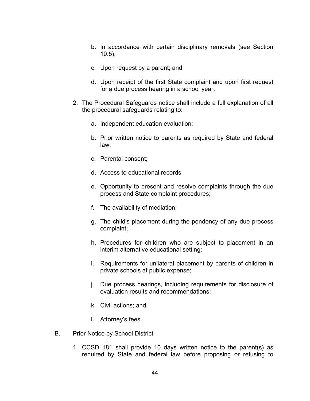- b. In accordance with certain disciplinary removals (see Section  $10.5$ ;
- c. Upon request by a parent; and
- d. Upon receipt of the first State complaint and upon first request for a due process hearing in a school year.
- 2. The Procedural Safeguards notice shall include a full explanation of all the procedural safeguards relating to:
	- a. Independent education evaluation;
	- b. Prior written notice to parents as required by State and federal law;
	- c. Parental consent;
	- d. Access to educational records
	- e. Opportunity to present and resolve complaints through the due process and State complaint procedures;
	- f. The availability of mediation;
	- g. The child's placement during the pendency of any due process complaint;
	- h. Procedures for children who are subject to placement in an interim alternative educational setting;
	- i. Requirements for unilateral placement by parents of children in private schools at public expense;
	- j. Due process hearings, including requirements for disclosure of evaluation results and recommendations;
	- k. Civil actions; and
	- l. Attorney's fees.
- B. Prior Notice by School District
	- 1. CCSD 181 shall provide 10 days written notice to the parent(s) as required by State and federal law before proposing or refusing to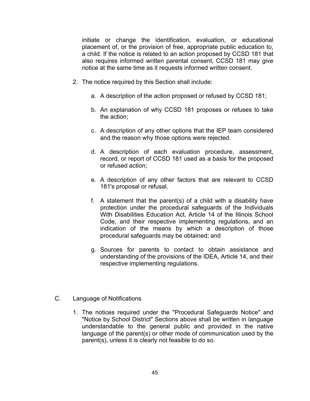initiate or change the identification, evaluation, or educational placement of, or the provision of free, appropriate public education to, a child. If the notice is related to an action proposed by CCSD 181 that also requires informed written parental consent, CCSD 181 may give notice at the same time as it requests informed written consent.

- 2. The notice required by this Section shall include:
	- a. A description of the action proposed or refused by CCSD 181;
	- b. An explanation of why CCSD 181 proposes or refuses to take the action;
	- c. A description of any other options that the IEP team considered and the reason why those options were rejected.
	- d. A description of each evaluation procedure, assessment, record, or report of CCSD 181 used as a basis for the proposed or refused action;
	- e. A description of any other factors that are relevant to CCSD 181's proposal or refusal.
	- f. A statement that the parent(s) of a child with a disability have protection under the procedural safeguards of the Individuals With Disabilities Education Act, Article 14 of the Illinois School Code, and their respective implementing regulations, and an indication of the means by which a description of those procedural safeguards may be obtained; and
	- g. Sources for parents to contact to obtain assistance and understanding of the provisions of the IDEA, Article 14, and their respective implementing regulations.
- C. Language of Notifications
	- 1. The notices required under the "Procedural Safeguards Notice" and "Notice by School District" Sections above shall be written in language understandable to the general public and provided in the native language of the parent(s) or other mode of communication used by the parent(s), unless it is clearly not feasible to do so.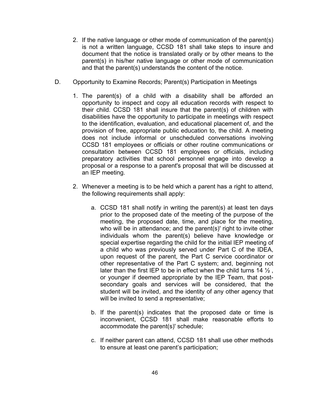- 2. If the native language or other mode of communication of the parent(s) is not a written language, CCSD 181 shall take steps to insure and document that the notice is translated orally or by other means to the parent(s) in his/her native language or other mode of communication and that the parent(s) understands the content of the notice.
- D. Opportunity to Examine Records; Parent(s) Participation in Meetings
	- 1. The parent(s) of a child with a disability shall be afforded an opportunity to inspect and copy all education records with respect to their child. CCSD 181 shall insure that the parent(s) of children with disabilities have the opportunity to participate in meetings with respect to the identification, evaluation, and educational placement of, and the provision of free, appropriate public education to, the child. A meeting does not include informal or unscheduled conversations involving CCSD 181 employees or officials or other routine communications or consultation between CCSD 181 employees or officials, including preparatory activities that school personnel engage into develop a proposal or a response to a parent's proposal that will be discussed at an IEP meeting.
	- 2. Whenever a meeting is to be held which a parent has a right to attend, the following requirements shall apply:
		- a. CCSD 181 shall notify in writing the parent(s) at least ten days prior to the proposed date of the meeting of the purpose of the meeting, the proposed date, time, and place for the meeting, who will be in attendance; and the parent(s)' right to invite other individuals whom the parent(s) believe have knowledge or special expertise regarding the child for the initial IEP meeting of a child who was previously served under Part C of the IDEA, upon request of the parent, the Part C service coordinator or other representative of the Part C system; and, beginning not later than the first IEP to be in effect when the child turns 14  $\frac{1}{2}$ , or younger if deemed appropriate by the IEP Team, that postsecondary goals and services will be considered, that the student will be invited, and the identity of any other agency that will be invited to send a representative;
		- b. If the parent(s) indicates that the proposed date or time is inconvenient, CCSD 181 shall make reasonable efforts to accommodate the parent(s)' schedule;
		- c. If neither parent can attend, CCSD 181 shall use other methods to ensure at least one parent's participation;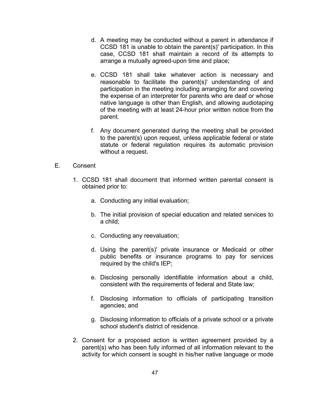- d. A meeting may be conducted without a parent in attendance if CCSD 181 is unable to obtain the parent(s)' participation. In this case, CCSD 181 shall maintain a record of its attempts to arrange a mutually agreed-upon time and place;
- e. CCSD 181 shall take whatever action is necessary and reasonable to facilitate the parent(s)' understanding of and participation in the meeting including arranging for and covering the expense of an interpreter for parents who are deaf or whose native language is other than English, and allowing audiotaping of the meeting with at least 24-hour prior written notice from the parent.
- f. Any document generated during the meeting shall be provided to the parent(s) upon request, unless applicable federal or state statute or federal regulation requires its automatic provision without a request.
- E. Consent
	- 1. CCSD 181 shall document that informed written parental consent is obtained prior to:
		- a. Conducting any initial evaluation;
		- b. The initial provision of special education and related services to a child;
		- c. Conducting any reevaluation;
		- d. Using the parent(s)' private insurance or Medicaid or other public benefits or insurance programs to pay for services required by the child's IEP;
		- e. Disclosing personally identifiable information about a child, consistent with the requirements of federal and State law;
		- f. Disclosing information to officials of participating transition agencies; and
		- g. Disclosing information to officials of a private school or a private school student's district of residence.
	- 2. Consent for a proposed action is written agreement provided by a parent(s) who has been fully informed of all information relevant to the activity for which consent is sought in his/her native language or mode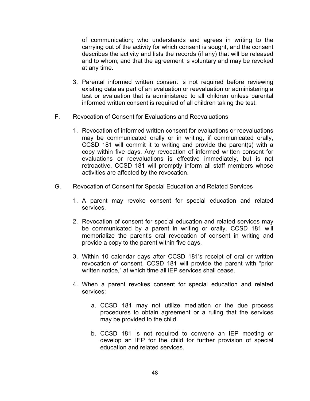of communication; who understands and agrees in writing to the carrying out of the activity for which consent is sought, and the consent describes the activity and lists the records (if any) that will be released and to whom; and that the agreement is voluntary and may be revoked at any time.

- 3. Parental informed written consent is not required before reviewing existing data as part of an evaluation or reevaluation or administering a test or evaluation that is administered to all children unless parental informed written consent is required of all children taking the test.
- F. Revocation of Consent for Evaluations and Reevaluations
	- 1. Revocation of informed written consent for evaluations or reevaluations may be communicated orally or in writing, if communicated orally, CCSD 181 will commit it to writing and provide the parent(s) with a copy within five days. Any revocation of informed written consent for evaluations or reevaluations is effective immediately, but is not retroactive. CCSD 181 will promptly inform all staff members whose activities are affected by the revocation.
- G. Revocation of Consent for Special Education and Related Services
	- 1. A parent may revoke consent for special education and related services.
	- 2. Revocation of consent for special education and related services may be communicated by a parent in writing or orally. CCSD 181 will memorialize the parent's oral revocation of consent in writing and provide a copy to the parent within five days.
	- 3. Within 10 calendar days after CCSD 181's receipt of oral or written revocation of consent, CCSD 181 will provide the parent with "prior written notice," at which time all lEP services shall cease.
	- 4. When a parent revokes consent for special education and related services:
		- a. CCSD 181 may not utilize mediation or the due process procedures to obtain agreement or a ruling that the services may be provided to the child.
		- b. CCSD 181 is not required to convene an IEP meeting or develop an IEP for the child for further provision of special education and related services.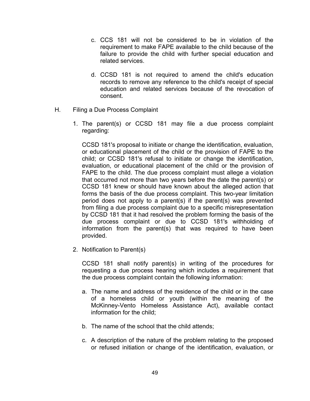- c. CCS 181 will not be considered to be in violation of the requirement to make FAPE available to the child because of the failure to provide the child with further special education and related services.
- d. CCSD 181 is not required to amend the child's education records to remove any reference to the child's receipt of special education and related services because of the revocation of consent.
- H. Filing a Due Process Complaint
	- 1. The parent(s) or CCSD 181 may file a due process complaint regarding:

CCSD 181's proposal to initiate or change the identification, evaluation, or educational placement of the child or the provision of FAPE to the child; or CCSD 181's refusal to initiate or change the identification, evaluation, or educational placement of the child or the provision of FAPE to the child. The due process complaint must allege a violation that occurred not more than two years before the date the parent(s) or CCSD 181 knew or should have known about the alleged action that forms the basis of the due process complaint. This two-year limitation period does not apply to a parent(s) if the parent(s) was prevented from filing a due process complaint due to a specific misrepresentation by CCSD 181 that it had resolved the problem forming the basis of the due process complaint or due to CCSD 181's withholding of information from the parent(s) that was required to have been provided.

2. Notification to Parent(s)

CCSD 181 shall notify parent(s) in writing of the procedures for requesting a due process hearing which includes a requirement that the due process complaint contain the following information:

- a. The name and address of the residence of the child or in the case of a homeless child or youth (within the meaning of the McKinney-Vento Homeless Assistance Act), available contact information for the child;
- b. The name of the school that the child attends;
- c. A description of the nature of the problem relating to the proposed or refused initiation or change of the identification, evaluation, or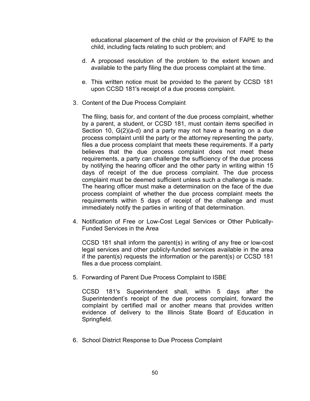educational placement of the child or the provision of FAPE to the child, including facts relating to such problem; and

- d. A proposed resolution of the problem to the extent known and available to the party filing the due process complaint at the time.
- e. This written notice must be provided to the parent by CCSD 181 upon CCSD 181's receipt of a due process complaint.
- 3. Content of the Due Process Complaint

The filing, basis for, and content of the due process complaint, whether by a parent, a student, or CCSD 181, must contain items specified in Section 10, G(2)(a-d) and a party may not have a hearing on a due process complaint until the party or the attorney representing the party, files a due process complaint that meets these requirements. If a party believes that the due process complaint does not meet these requirements, a party can challenge the sufficiency of the due process by notifying the hearing officer and the other party in writing within 15 days of receipt of the due process complaint. The due process complaint must be deemed sufficient unless such a challenge is made. The hearing officer must make a determination on the face of the due process complaint of whether the due process complaint meets the requirements within 5 days of receipt of the challenge and must immediately notify the parties in writing of that determination.

4. Notification of Free or Low-Cost Legal Services or Other Publically-Funded Services in the Area

CCSD 181 shall inform the parent(s) in writing of any free or low-cost legal services and other publicly-funded services available in the area if the parent(s) requests the information or the parent(s) or CCSD 181 files a due process complaint.

5. Forwarding of Parent Due Process Complaint to ISBE

CCSD 181's Superintendent shall, within 5 days after the Superintendent's receipt of the due process complaint, forward the complaint by certified mail or another means that provides written evidence of delivery to the Illinois State Board of Education in Springfield.

6. School District Response to Due Process Complaint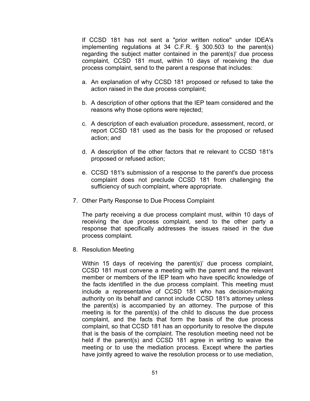If CCSD 181 has not sent a "prior written notice'' under IDEA's implementing regulations at 34 C.F.R. § 300.503 to the parent(s) regarding the subject matter contained in the parent(s)' due process complaint, CCSD 181 must, within 10 days of receiving the due process complaint, send to the parent a response that includes:

- a. An explanation of why CCSD 181 proposed or refused to take the action raised in the due process complaint;
- b. A description of other options that the IEP team considered and the reasons why those options were rejected;
- c. A description of each evaluation procedure, assessment, record, or report CCSD 181 used as the basis for the proposed or refused action; and
- d. A description of the other factors that re relevant to CCSD 181's proposed or refused action;
- e. CCSD 181's submission of a response to the parent's due process complaint does not preclude CCSD 181 from challenging the sufficiency of such complaint, where appropriate.
- 7. Other Party Response to Due Process Complaint

The party receiving a due process complaint must, within 10 days of receiving the due process complaint, send to the other party a response that specifically addresses the issues raised in the due process complaint.

8. Resolution Meeting

Within 15 days of receiving the parent(s)' due process complaint, CCSD 181 must convene a meeting with the parent and the relevant member or members of the IEP team who have specific knowledge of the facts identified in the due process complaint. This meeting must include a representative of CCSD 181 who has decision-making authority on its behalf and cannot include CCSD 181's attorney unless the parent(s) is accompanied by an attorney. The purpose of this meeting is for the parent(s) of the child to discuss the due process complaint, and the facts that form the basis of the due process complaint, so that CCSD 181 has an opportunity to resolve the dispute that is the basis of the complaint. The resolution meeting need not be held if the parent(s) and CCSD 181 agree in writing to waive the meeting or to use the mediation process. Except where the parties have jointly agreed to waive the resolution process or to use mediation,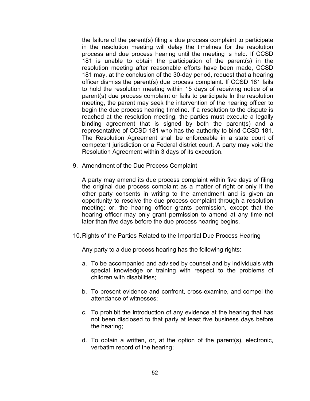the failure of the parent(s) filing a due process complaint to participate in the resolution meeting will delay the timelines for the resolution process and due process hearing until the meeting is held. If CCSD 181 is unable to obtain the participation of the parent(s) in the resolution meeting after reasonable efforts have been made, CCSD 181 may, at the conclusion of the 30-day period, request that a hearing officer dismiss the parent(s) due process complaint. If CCSD 181 fails to hold the resolution meeting within 15 days of receiving notice of a parent(s) due process complaint or fails to participate ln the resolution meeting, the parent may seek the intervention of the hearing officer to begin the due process hearing timeline. If a resolution to the dispute is reached at the resolution meeting, the parties must execute a legally binding agreement that is signed by both the parent(s) and a representative of CCSD 181 who has the authority to bind CCSD 181. The Resolution Agreement shall be enforceable in a state court of competent jurisdiction or a Federal district court. A party may void the Resolution Agreement within 3 days of its execution.

9. Amendment of the Due Process Complaint

A party may amend its due process complaint within five days of filing the original due process complaint as a matter of right or only if the other party consents in writing to the amendment and is given an opportunity to resolve the due process complaint through a resolution meeting; or, the hearing officer grants permission, except that the hearing officer may only grant permission to amend at any time not later than five days before the due process hearing begins.

10.Rights of the Parties Related to the Impartial Due Process Hearing

Any party to a due process hearing has the following rights:

- a. To be accompanied and advised by counsel and by individuals with special knowledge or training with respect to the problems of children with disabilities;
- b. To present evidence and confront, cross-examine, and compel the attendance of witnesses;
- c. To prohibit the introduction of any evidence at the hearing that has not been disclosed to that party at least five business days before the hearing;
- d. To obtain a written, or, at the option of the parent(s), electronic, verbatim record of the hearing;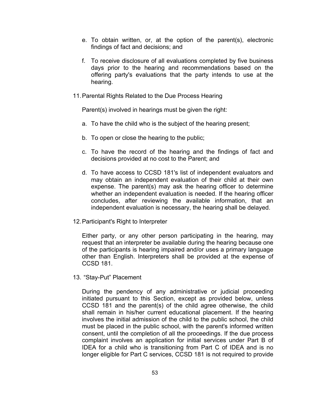- e. To obtain written, or, at the option of the parent(s), electronic findings of fact and decisions; and
- f. To receive disclosure of all evaluations completed by five business days prior to the hearing and recommendations based on the offering party's evaluations that the party intends to use at the hearing.
- 11.Parental Rights Related to the Due Process Hearing

Parent(s) involved in hearings must be given the right:

- a. To have the child who is the subject of the hearing present;
- b. To open or close the hearing to the public;
- c. To have the record of the hearing and the findings of fact and decisions provided at no cost to the Parent; and
- d. To have access to CCSD 181's list of independent evaluators and may obtain an independent evaluation of their child at their own expense. The parent(s) may ask the hearing officer to determine whether an independent evaluation is needed. If the hearing officer concludes, after reviewing the available information, that an independent evaluation is necessary, the hearing shall be delayed.
- 12.Participant's Right to Interpreter

Either party, or any other person participating in the hearing, may request that an interpreter be available during the hearing because one of the participants is hearing impaired and/or uses a primary language other than English. Interpreters shall be provided at the expense of CCSD 181.

13. "Stay-Put" Placement

During the pendency of any administrative or judicial proceeding initiated pursuant to this Section, except as provided below, unless CCSD 181 and the parent(s) of the child agree otherwise, the child shall remain in his/her current educational placement. If the hearing involves the initial admission of the child to the public school, the child must be placed in the public school, with the parent's informed written consent, until the completion of all the proceedings. If the due process complaint involves an application for initial services under Part B of IDEA for a child who is transitioning from Part C of IDEA and is no longer eligible for Part C services, CCSD 181 is not required to provide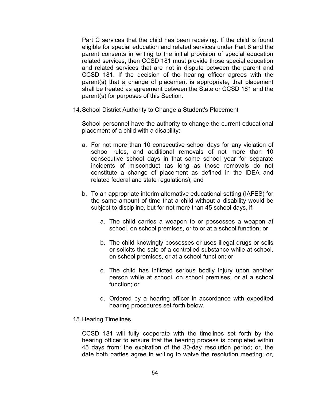Part C services that the child has been receiving. If the child is found eligible for special education and related services under Part 8 and the parent consents in writing to the initial provision of special education related services, then CCSD 181 must provide those special education and related services that are not in dispute between the parent and CCSD 181. If the decision of the hearing officer agrees with the parent(s) that a change of placement is appropriate, that placement shall be treated as agreement between the State or CCSD 181 and the parent(s) for purposes of this Section.

14.School District Authority to Change a Student's Placement

School personnel have the authority to change the current educational placement of a child with a disability:

- a. For not more than 10 consecutive school days for any violation of school rules, and additional removals of not more than 10 consecutive school days in that same school year for separate incidents of misconduct (as long as those removals do not constitute a change of placement as defined in the IDEA and related federal and state regulations); and
- b. To an appropriate interim alternative educational setting (IAFES) for the same amount of time that a child without a disability would be subject to discipline, but for not more than 45 school days, if:
	- a. The child carries a weapon to or possesses a weapon at school, on school premises, or to or at a school function; or
	- b. The child knowingly possesses or uses illegal drugs or sells or solicits the sale of a controlled substance while at school, on school premises, or at a school function; or
	- c. The child has inflicted serious bodily injury upon another person while at school, on school premises, or at a school function; or
	- d. Ordered by a hearing officer in accordance with expedited hearing procedures set forth below.
- 15.Hearing Timelines

CCSD 181 will fully cooperate with the timelines set forth by the hearing officer to ensure that the hearing process is completed within 45 days from: the expiration of the 30-day resolution period; or, the date both parties agree in writing to waive the resolution meeting; or,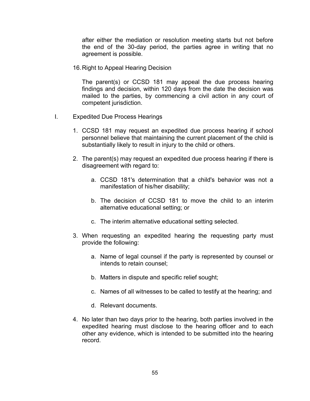after either the mediation or resolution meeting starts but not before the end of the 30-day period, the parties agree in writing that no agreement is possible.

16.Right to Appeal Hearing Decision

The parent(s) or CCSD 181 may appeal the due process hearing findings and decision, within 120 days from the date the decision was mailed to the parties, by commencing a civil action in any court of competent jurisdiction.

- I. Expedited Due Process Hearings
	- 1. CCSD 181 may request an expedited due process hearing if school personnel believe that maintaining the current placement of the child is substantially likely to result in injury to the child or others.
	- 2. The parent(s) may request an expedited due process hearing if there is disagreement with regard to:
		- a. CCSD 181's determination that a child's behavior was not a manifestation of his/her disability;
		- b. The decision of CCSD 181 to move the child to an interim alternative educational setting; or
		- c. The interim alternative educational setting selected.
	- 3. When requesting an expedited hearing the requesting party must provide the following:
		- a. Name of legal counsel if the party is represented by counsel or intends to retain counsel;
		- b. Matters in dispute and specific relief sought;
		- c. Names of all witnesses to be called to testify at the hearing; and
		- d. Relevant documents.
	- 4. No later than two days prior to the hearing, both parties involved in the expedited hearing must disclose to the hearing officer and to each other any evidence, which is intended to be submitted into the hearing record.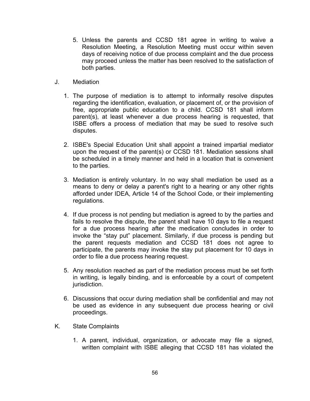- 5. Unless the parents and CCSD 181 agree in writing to waive a Resolution Meeting, a Resolution Meeting must occur within seven days of receiving notice of due process complaint and the due process may proceed unless the matter has been resolved to the satisfaction of both parties.
- J. Mediation
	- 1. The purpose of mediation is to attempt to informally resolve disputes regarding the identification, evaluation, or placement of, or the provision of free, appropriate public education to a child. CCSD 181 shall inform parent(s), at least whenever a due process hearing is requested, that ISBE offers a process of mediation that may be sued to resolve such disputes.
	- 2. ISBE's Special Education Unit shall appoint a trained impartial mediator upon the request of the parent(s) or CCSD 181. Mediation sessions shall be scheduled in a timely manner and held in a location that is convenient to the parties.
	- 3. Mediation is entirely voluntary. In no way shall mediation be used as a means to deny or delay a parent's right to a hearing or any other rights afforded under IDEA, Article 14 of the School Code, or their implementing regulations.
	- 4. If due process is not pending but mediation is agreed to by the parties and fails to resolve the dispute, the parent shall have 10 days to file a request for a due process hearing after the medication concludes in order to invoke the "stay put" placement. Similarly, if due process is pending but the parent requests mediation and CCSD 181 does not agree to participate, the parents may invoke the stay put placement for 10 days in order to file a due process hearing request.
	- 5. Any resolution reached as part of the mediation process must be set forth in writing, is legally binding, and is enforceable by a court of competent jurisdiction.
	- 6. Discussions that occur during mediation shall be confidential and may not be used as evidence in any subsequent due process hearing or civil proceedings.
- K. State Complaints
	- 1. A parent, individual, organization, or advocate may file a signed, written complaint with ISBE alleging that CCSD 181 has violated the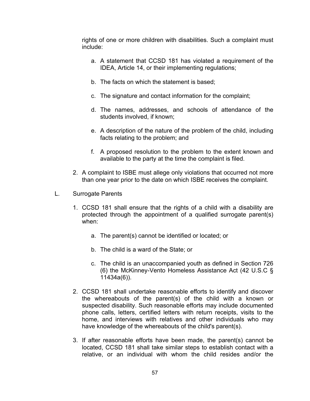rights of one or more children with disabilities. Such a complaint must include:

- a. A statement that CCSD 181 has violated a requirement of the IDEA, Article 14, or their implementing regulations;
- b. The facts on which the statement is based;
- c. The signature and contact information for the complaint;
- d. The names, addresses, and schools of attendance of the students involved, if known;
- e. A description of the nature of the problem of the child, including facts relating to the problem; and
- f. A proposed resolution to the problem to the extent known and available to the party at the time the complaint is filed.
- 2. A complaint to ISBE must allege only violations that occurred not more than one year prior to the date on which ISBE receives the complaint.
- L. Surrogate Parents
	- 1. CCSD 181 shall ensure that the rights of a child with a disability are protected through the appointment of a qualified surrogate parent(s) when:
		- a. The parent(s) cannot be identified or located; or
		- b. The child is a ward of the State; or
		- c. The child is an unaccompanied youth as defined in Section 726 (6) the McKinney-Vento Homeless Assistance Act (42 U.S.C § 11434a(6)).
	- 2. CCSD 181 shall undertake reasonable efforts to identify and discover the whereabouts of the parent(s) of the child with a known or suspected disability. Such reasonable efforts may include documented phone calls, letters, certified letters with return receipts, visits to the home, and interviews with relatives and other individuals who may have knowledge of the whereabouts of the child's parent(s).
	- 3. If after reasonable efforts have been made, the parent(s) cannot be located, CCSD 181 shall take similar steps to establish contact with a relative, or an individual with whom the child resides and/or the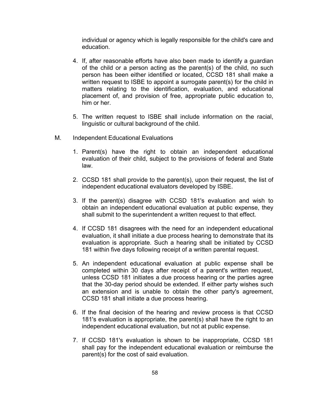individual or agency which is legally responsible for the child's care and education.

- 4. If, after reasonable efforts have also been made to identify a guardian of the child or a person acting as the parent(s) of the child, no such person has been either identified or located, CCSD 181 shall make a written request to ISBE to appoint a surrogate parent(s) for the child in matters relating to the identification, evaluation, and educational placement of, and provision of free, appropriate public education to, him or her.
- 5. The written request to ISBE shall include information on the racial, linguistic or cultural background of the child.
- M. **Independent Educational Evaluations** 
	- 1. Parent(s) have the right to obtain an independent educational evaluation of their child, subject to the provisions of federal and State law.
	- 2. CCSD 181 shall provide to the parent(s), upon their request, the list of independent educational evaluators developed by ISBE.
	- 3. If the parent(s) disagree with CCSD 181's evaluation and wish to obtain an independent educational evaluation at public expense, they shall submit to the superintendent a written request to that effect.
	- 4. If CCSD 181 disagrees with the need for an independent educational evaluation, it shall initiate a due process hearing to demonstrate that its evaluation is appropriate. Such a hearing shall be initiated by CCSD 181 within five days following receipt of a written parental request.
	- 5. An independent educational evaluation at public expense shall be completed within 30 days after receipt of a parent's written request, unless CCSD 181 initiates a due process hearing or the parties agree that the 30-day period should be extended. If either party wishes such an extension and is unable to obtain the other party's agreement, CCSD 181 shall initiate a due process hearing.
	- 6. If the final decision of the hearing and review process is that CCSD 181's evaluation is appropriate, the parent(s) shall have the right to an independent educational evaluation, but not at public expense.
	- 7. If CCSD 181's evaluation is shown to be inappropriate, CCSD 181 shall pay for the independent educational evaluation or reimburse the parent(s) for the cost of said evaluation.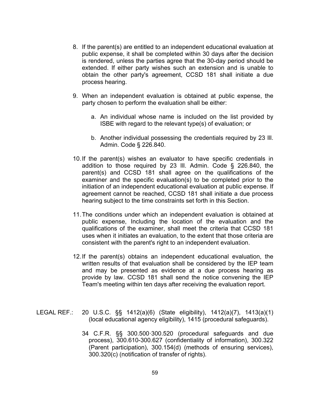- 8. If the parent(s) are entitled to an independent educational evaluation at public expense, it shall be completed within 30 days after the decision is rendered, unless the parties agree that the 30-day period should be extended. If either party wishes such an extension and is unable to obtain the other party's agreement, CCSD 181 shall initiate a due process hearing.
- 9. When an independent evaluation is obtained at public expense, the party chosen to perform the evaluation shall be either:
	- a. An individual whose name is included on the list provided by ISBE with regard to the relevant type(s) of evaluation; or
	- b. Another individual possessing the credentials required by 23 Ill. Admin. Code § 226.840.
- 10.If the parent(s) wishes an evaluator to have specific credentials in addition to those required by 23 Ill. Admin. Code § 226.840, the parent(s) and CCSD 181 shall agree on the qualifications of the examiner and the specific evaluation(s) to be completed prior to the initiation of an independent educational evaluation at public expense. If agreement cannot be reached, CCSD 181 shall initiate a due process hearing subject to the time constraints set forth in this Section.
- 11.The conditions under which an independent evaluation is obtained at public expense, Including the location of the evaluation and the qualifications of the examiner, shall meet the criteria that CCSD 181 uses when it initiates an evaluation, to the extent that those criteria are consistent with the parent's right to an independent evaluation.
- 12.If the parent(s) obtains an independent educational evaluation, the written results of that evaluation shall be considered by the IEP team and may be presented as evidence at a due process hearing as provide by law. CCSD 181 shall send the notice convening the IEP Team's meeting within ten days after receiving the evaluation report.
- LEGAL REF.: 20 U.S.C. §§ 1412(a)(6) (State eligibility), 1412(a)(7), 1413(a)(1) (local educational agency eligibility), 1415 (procedural safeguards).
	- 34 C.F.R. §§ 300.500·300.520 (procedural safeguards and due process), 300.610-300.627 (confidentiality of information), 300.322 (Parent participation), 300.154(d) (methods of ensuring services), 300.320(c) (notification of transfer of rights).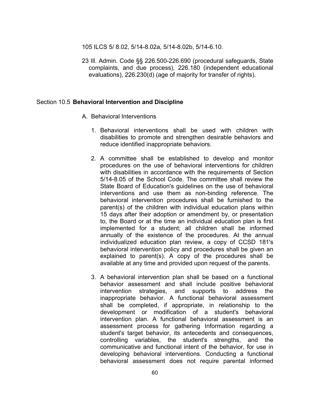105 ILCS 5/ 8.02, 5/14-8.02a, 5/14-8.02b, 5/14-6.10.

23 Ill. Admin. Code §§ 226.500-226.690 (procedural safeguards, State complaints, and due process), 226.180 (independent educational evaluations), 226.230(d) (age of majority for transfer of rights).

#### Section 10.5 **Behavioral Intervention and Discipline**

- A. Behavioral Interventions
	- 1. Behavioral interventions shall be used with children with disabilities to promote and strengthen desirable behaviors and reduce identified inappropriate behaviors.
	- 2. A committee shall be established to develop and monitor procedures on the use of behavioral interventions for children with disabilities in accordance with the requirements of Section 5/14-8.05 of the School Code. The committee shall review the State Board of Education's guidelines on the use of behavioral interventions and use them as non-binding reference. The behavioral intervention procedures shall be furnished to the parent(s) of the children with individual education plans within 15 days after their adoption or amendment by, or presentation to, the Board or at the time an individual education plan is first implemented for a student; all children shall be informed annually of the existence of the procedures. At the annual individualized education plan review, a copy of CCSD 181's behavioral intervention policy and procedures shall be given an explained to parent(s). A copy of the procedures shall be available at any time and provided upon request of the parents.
	- 3. A behavioral intervention plan shall be based on a functional behavior assessment and shall include positive behavioral intervention strategies, and supports to address the inappropriate behavior. A functional behavioral assessment shall be completed, if appropriate, in relationship to the development or modification of a student's behavioral intervention plan. A functional behavioral assessment is an assessment process for gathering Information regarding a student's target behavior, its antecedents and consequences, controlling variables, the student's strengths, and the communicative and functional intent of the behavior, for use in developing behavioral interventions. Conducting a functional behavioral assessment does not require parental informed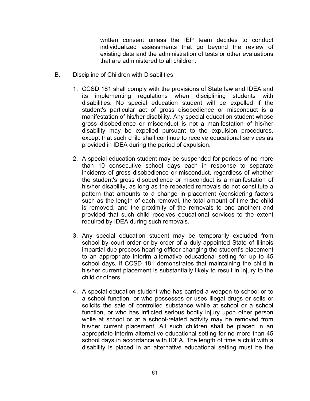written consent unless the IEP team decides to conduct individualized assessments that go beyond the review of existing data and the administration of tests or other evaluations that are administered to all children.

- B. Discipline of Children with Disabilities
	- 1. CCSD 181 shall comply with the provisions of State law and IDEA and its implementing regulations when disciplining students with disabilities. No special education student will be expelled if the student's particular act of gross disobedience or misconduct is a manifestation of his/her disability. Any special education student whose gross disobedience or misconduct is not a manifestation of his/her disability may be expelled pursuant to the expulsion procedures, except that such child shall continue to receive educational services as provided in IDEA during the period of expulsion.
	- 2. A special education student may be suspended for periods of no more than 10 consecutive school days each in response to separate incidents of gross disobedience or misconduct, regardless of whether the student's gross disobedience or misconduct is a manifestation of his/her disability, as long as the repeated removals do not constitute a pattern that amounts to a change in placement (considering factors such as the length of each removal, the total amount of time the child is removed, and the proximity of the removals to one another) and provided that such child receives educational services to the extent required by IDEA during such removals.
	- 3. Any special education student may be temporarily excluded from school by court order or by order of a duly appointed State of Illinois impartial due process hearing officer changing the student's placement to an appropriate interim alternative educational setting for up to 45 school days, if CCSD 181 demonstrates that maintaining the child in his/her current placement is substantially likely to result in injury to the child or others.
	- 4. A special education student who has carried a weapon to school or to a school function, or who possesses or uses illegal drugs or sells or solicits the sale of controlled substance while at school or a school function, or who has inflicted serious bodily injury upon other person while at school or at a school-related activity may be removed from his/her current placement. All such children shall be placed in an appropriate interim alternative educational setting for no more than 45 school days in accordance with IDEA. The length of time a child with a disability is placed in an alternative educational setting must be the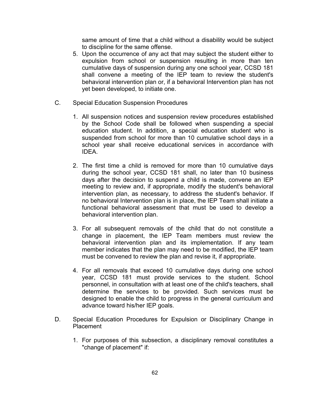same amount of time that a child without a disability would be subject to discipline for the same offense.

- 5. Upon the occurrence of any act that may subject the student either to expulsion from school or suspension resulting in more than ten cumulative days of suspension during any one school year, CCSD 181 shall convene a meeting of the IEP team to review the student's behavioral intervention plan or, if a behavioral Intervention plan has not yet been developed, to initiate one.
- C. Special Education Suspension Procedures
	- 1. All suspension notices and suspension review procedures established by the School Code shall be followed when suspending a special education student. In addition, a special education student who is suspended from school for more than 10 cumulative school days in a school year shall receive educational services in accordance with IDEA.
	- 2. The first time a child is removed for more than 10 cumulative days during the school year, CCSD 181 shall, no later than 10 business days after the decision to suspend a child is made, convene an IEP meeting to review and, if appropriate, modify the student's behavioral intervention plan, as necessary, to address the student's behavior. If no behavioral Intervention plan is in place, the IEP Team shall initiate a functional behavioral assessment that must be used to develop a behavioral intervention plan.
	- 3. For all subsequent removals of the child that do not constitute a change in placement, the IEP Team members must review the behavioral intervention plan and its implementation. If any team member indicates that the plan may need to be modified, the IEP team must be convened to review the plan and revise it, if appropriate.
	- 4. For all removals that exceed 10 cumulative days during one school year, CCSD 181 must provide services to the student. School personnel, in consultation with at least one of the child's teachers, shall determine the services to be provided. Such services must be designed to enable the child to progress in the general curriculum and advance toward his/her IEP goals.
- D. Special Education Procedures for Expulsion or Disciplinary Change in Placement
	- 1. For purposes of this subsection, a disciplinary removal constitutes a "change of placement" if: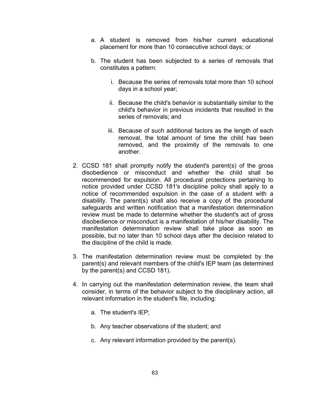- a. A student is removed from his/her current educational placement for more than 10 consecutive school days; or
- b. The student has been subjected to a series of removals that constitutes a pattern:
	- i. Because the series of removals total more than 10 school days in a school year;
	- ii. Because the child's behavior is substantially similar to the child's behavior in previous incidents that resulted in the series of removals; and
	- iii. Because of such additional factors as the length of each removal, the total amount of time the child has been removed, and the proximity of the removals to one another.
- 2. CCSD 181 shall promptly notify the student's parent(s) of the gross disobedience or misconduct and whether the child shall be recommended for expulsion. All procedural protections pertaining to notice provided under CCSD 181's discipline policy shall apply to a notice of recommended expulsion in the case of a student with a disability. The parent(s) shall also receive a copy of the procedural safeguards and written notification that a manifestation determination review must be made to determine whether the student's act of gross disobedience or misconduct is a manifestation of his/her disability. The manifestation determination review shall take place as soon as possible, but no later than 10 school days after the decision related to the discipline of the child is made.
- 3. The manifestation determination review must be completed by the parent(s) and relevant members of the child's IEP team (as determined by the parent(s) and CCSD 181).
- 4. In carrying out the manifestation determination review, the team shall consider, in terms of the behavior subject to the disciplinary action, all relevant information in the student's file, including:
	- a. The student's IEP;
	- b. Any teacher observations of the student; and
	- c. Any relevant information provided by the parent(s).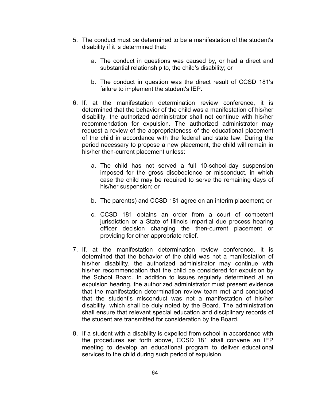- 5. The conduct must be determined to be a manifestation of the student's disability if it is determined that:
	- a. The conduct in questions was caused by, or had a direct and substantial relationship to, the child's disability; or
	- b. The conduct in question was the direct result of CCSD 181's failure to implement the student's IEP.
- 6. If, at the manifestation determination review conference, it is determined that the behavior of the child was a manifestation of his/her disability, the authorized administrator shall not continue with his/her recommendation for expulsion. The authorized administrator may request a review of the appropriateness of the educational placement of the child in accordance with the federal and state law. During the period necessary to propose a new placement, the child will remain in his/her then-current placement unless:
	- a. The child has not served a full 10-school-day suspension imposed for the gross disobedience or misconduct, in which case the child may be required to serve the remaining days of his/her suspension; or
	- b. The parent(s) and CCSD 181 agree on an interim placement; or
	- c. CCSD 181 obtains an order from a court of competent jurisdiction or a State of Illinois impartial due process hearing officer decision changing the then-current placement or providing for other appropriate relief.
- 7. If, at the manifestation determination review conference, it is determined that the behavior of the child was not a manifestation of his/her disability, the authorized administrator may continue with his/her recommendation that the child be considered for expulsion by the School Board. In addition to issues regularly determined at an expulsion hearing, the authorized administrator must present evidence that the manifestation determination review team met and concluded that the student's misconduct was not a manifestation of his/her disability, which shall be duly noted by the Board. The administration shall ensure that relevant special education and disciplinary records of the student are transmitted for consideration by the Board.
- 8. If a student with a disability is expelled from school in accordance with the procedures set forth above, CCSD 181 shall convene an IEP meeting to develop an educational program to deliver educational services to the child during such period of expulsion.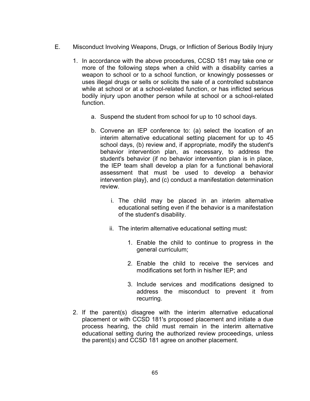- E. Misconduct Involving Weapons, Drugs, or Infliction of Serious Bodily Injury
	- 1. In accordance with the above procedures, CCSD 181 may take one or more of the following steps when a child with a disability carries a weapon to school or to a school function, or knowingly possesses or uses illegal drugs or sells or solicits the sale of a controlled substance while at school or at a school-related function, or has inflicted serious bodily injury upon another person while at school or a school-related function.
		- a. Suspend the student from school for up to 10 school days.
		- b. Convene an IEP conference to: (a) select the location of an interim alternative educational setting placement for up to 45 school days, (b) review and, if appropriate, modify the student's behavior intervention plan, as necessary, to address the student's behavior (if no behavior intervention plan is in place, the IEP team shall develop a plan for a functional behavioral assessment that must be used to develop a behavior intervention play}, and (c) conduct a manifestation determination review.
			- i. The child may be placed in an interim alternative educational setting even if the behavior is a manifestation of the student's disability.
			- ii. The interim alternative educational setting must:
				- 1. Enable the child to continue to progress in the general curriculum;
				- 2. Enable the child to receive the services and modifications set forth in his/her IEP; and
				- 3. Include services and modifications designed to address the misconduct to prevent it from recurring.
	- 2. If the parent(s) disagree with the interim alternative educational placement or with CCSD 181's proposed placement and initiate a due process hearing, the child must remain in the interim alternative educational setting during the authorized review proceedings, unless the parent(s) and CCSD 181 agree on another placement.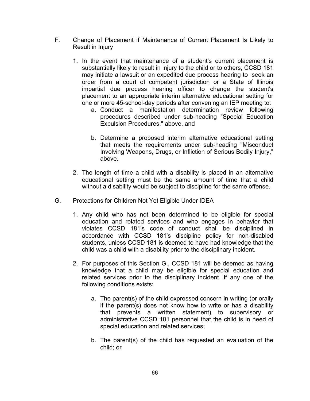- F. Change of Placement if Maintenance of Current Placement Is Likely to Result in Injury
	- 1. In the event that maintenance of a student's current placement is substantially likely to result in injury to the child or to others, CCSD 181 may initiate a lawsuit or an expedited due process hearing to seek an order from a court of competent jurisdiction or a State of Illinois impartial due process hearing officer to change the student's placement to an appropriate interim alternative educational setting for one or more 45-school-day periods after convening an IEP meeting to:
		- a. Conduct a manifestation determination review following procedures described under sub-heading "Special Education Expulsion Procedures," above, and
		- b. Determine a proposed interim alternative educational setting that meets the requirements under sub-heading "Misconduct Involving Weapons, Drugs, or Infliction of Serious Bodily Injury," above.
	- 2. The length of time a child with a disability is placed in an alternative educational setting must be the same amount of time that a child without a disability would be subject to discipline for the same offense.
- G. Protections for Children Not Yet Eligible Under IDEA
	- 1. Any child who has not been determined to be eligible for special education and related services and who engages in behavior that violates CCSD 181's code of conduct shall be disciplined in accordance with CCSD 181's discipline policy for non-disabled students, unless CCSD 181 is deemed to have had knowledge that the child was a child with a disability prior to the disciplinary incident.
	- 2. For purposes of this Section G., CCSD 181 will be deemed as having knowledge that a child may be eligible for special education and related services prior to the disciplinary incident, if any one of the following conditions exists:
		- a. The parent(s) of the child expressed concern in writing (or orally if the parent(s) does not know how to write or has a disability that prevents a written statement) to supervisory or administrative CCSD 181 personnel that the child is in need of special education and related services;
		- b. The parent(s) of the child has requested an evaluation of the child; or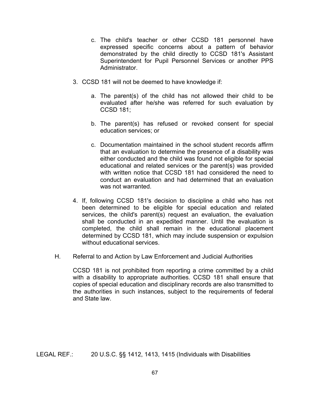- c. The child's teacher or other CCSD 181 personnel have expressed specific concerns about a pattern of behavior demonstrated by the child directly to CCSD 181's Assistant Superintendent for Pupil Personnel Services or another PPS **Administrator**
- 3. CCSD 181 will not be deemed to have knowledge if:
	- a. The parent(s) of the child has not allowed their child to be evaluated after he/she was referred for such evaluation by CCSD 181;
	- b. The parent(s) has refused or revoked consent for special education services; or
	- c. Documentation maintained in the school student records affirm that an evaluation to determine the presence of a disability was either conducted and the child was found not eligible for special educational and related services or the parent(s) was provided with written notice that CCSD 181 had considered the need to conduct an evaluation and had determined that an evaluation was not warranted.
- 4. If, following CCSD 181's decision to discipline a child who has not been determined to be eligible for special education and related services, the child's parent(s) request an evaluation, the evaluation shall be conducted in an expedited manner. Until the evaluation is completed, the child shall remain in the educational placement determined by CCSD 181, which may include suspension or expulsion without educational services.
- H. Referral to and Action by Law Enforcement and Judicial Authorities

CCSD 181 is not prohibited from reporting a crime committed by a child with a disability to appropriate authorities. CCSD 181 shall ensure that copies of special education and disciplinary records are also transmitted to the authorities in such instances, subject to the requirements of federal and State law.

LEGAL REF.: 20 U.S.C. §§ 1412, 1413, 1415 (Individuals with Disabilities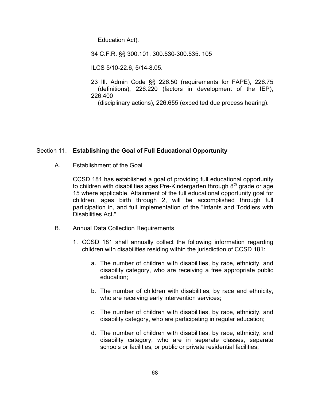Education Act).

34 C.F.R. §§ 300.101, 300.530-300.535. 105

ILCS 5/10-22.6, 5/14-8.05.

23 Ill. Admin Code §§ 226.50 (requirements for FAPE), 226.75 (definitions), 226.220 (factors in development of the IEP), 226.400

(disciplinary actions), 226.655 (expedited due process hearing).

## Section 11. **Establishing the Goal of Full Educational Opportunity**

A. Establishment of the Goal

CCSD 181 has established a goal of providing full educational opportunity to children with disabilities ages Pre-Kindergarten through  $8<sup>th</sup>$  grade or age 15 where applicable. Attainment of the full educational opportunity goal for children, ages birth through 2, will be accomplished through full participation in, and full implementation of the "Infants and Toddlers with Disabilities Act."

- B. Annual Data Collection Requirements
	- 1. CCSD 181 shall annually collect the following information regarding children with disabilities residing within the jurisdiction of CCSD 181:
		- a. The number of children with disabilities, by race, ethnicity, and disability category, who are receiving a free appropriate public education;
		- b. The number of children with disabilities, by race and ethnicity, who are receiving early intervention services;
		- c. The number of children with disabilities, by race, ethnicity, and disability category, who are participating in regular education;
		- d. The number of children with disabilities, by race, ethnicity, and disability category, who are in separate classes, separate schools or facilities, or public or private residential facilities;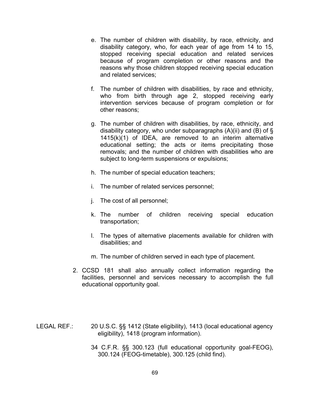- e. The number of children with disability, by race, ethnicity, and disability category, who, for each year of age from 14 to 15, stopped receiving special education and related services because of program completion or other reasons and the reasons why those children stopped receiving special education and related services;
- f. The number of children with disabilities, by race and ethnicity, who from birth through age 2, stopped receiving early intervention services because of program completion or for other reasons;
- g. The number of children with disabilities, by race, ethnicity, and disability category, who under subparagraphs  $(A)(ii)$  and  $(B)$  of  $\S$ 1415(k)(1) of IDEA, are removed to an interim alternative educational setting; the acts or items precipitating those removals; and the number of children with disabilities who are subject to long-term suspensions or expulsions;
- h. The number of special education teachers;
- i. The number of related services personnel;
- j. The cost of all personnel;
- k. The number of children receiving special education transportation;
- l. The types of alternative placements available for children with disabilities; and
- m. The number of children served in each type of placement.
- 2. CCSD 181 shall also annually collect information regarding the facilities, personnel and services necessary to accomplish the full educational opportunity goal.
- LEGAL REF.: 20 U.S.C. §§ 1412 (State eligibility), 1413 (local educational agency eligibility), 1418 (program information).
	- 34 C.F.R. §§ 300.123 (full educational opportunity goal-FEOG), 300.124 (FEOG-timetable), 300.125 (child find).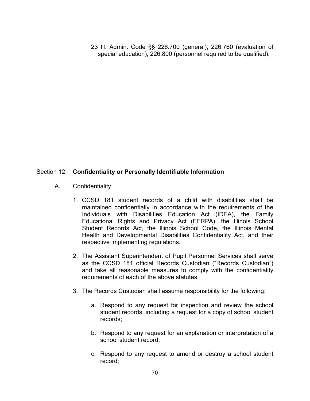23 Ill. Admin. Code §§ 226.700 (general), 226.760 (evaluation of special education), 226.800 (personnel required to be qualified).

## Section 12. **Confidentiality or Personally Identifiable Information**

- A. Confidentiality
	- 1. CCSD 181 student records of a child with disabilities shall be maintained confidentially in accordance with the requirements of the Individuals with Disabilities Education Act (IDEA), the Family Educational Rights and Privacy Act (FERPA), the Illinois School Student Records Act, the Illinois School Code, the Illinois Mental Health and Developmental Disabilities Confidentiality Act, and their respective implementing regulations.
	- 2. The Assistant Superintendent of Pupil Personnel Services shall serve as the CCSD 181 official Records Custodian ("Records Custodian") and take all reasonable measures to comply with the confidentiality requirements of each of the above statutes.
	- 3. The Records Custodian shall assume responsibility for the following:
		- a. Respond to any request for inspection and review the school student records, including a request for a copy of school student records;
		- b. Respond to any request for an explanation or interpretation of a school student record;
		- c. Respond to any request to amend or destroy a school student record;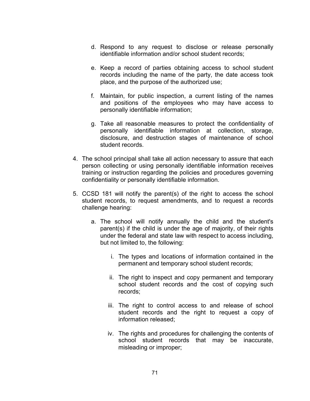- d. Respond to any request to disclose or release personally identifiable information and/or school student records;
- e. Keep a record of parties obtaining access to school student records including the name of the party, the date access took place, and the purpose of the authorized use;
- f. Maintain, for public inspection, a current listing of the names and positions of the employees who may have access to personally identifiable information;
- g. Take all reasonable measures to protect the confidentiality of personally identifiable information at collection, storage, disclosure, and destruction stages of maintenance of school student records.
- 4. The school principal shall take all action necessary to assure that each person collecting or using personally identifiable information receives training or instruction regarding the policies and procedures governing confidentiality or personally identifiable information.
- 5. CCSD 181 will notify the parent(s) of the right to access the school student records, to request amendments, and to request a records challenge hearing:
	- a. The school will notify annually the child and the student's parent(s) if the child is under the age of majority, of their rights under the federal and state law with respect to access including, but not limited to, the following:
		- i. The types and locations of information contained in the permanent and temporary school student records;
		- ii. The right to inspect and copy permanent and temporary school student records and the cost of copying such records;
		- iii. The right to control access to and release of school student records and the right to request a copy of information released;
		- iv. The rights and procedures for challenging the contents of school student records that may be inaccurate, misleading or improper;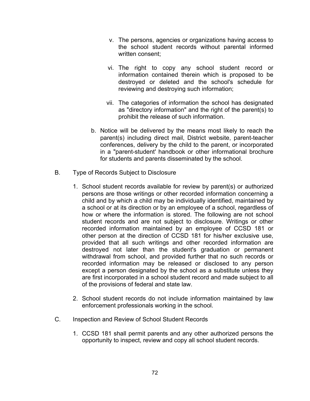- v. The persons, agencies or organizations having access to the school student records without parental informed written consent;
- vi. The right to copy any school student record or information contained therein which is proposed to be destroyed or deleted and the school's schedule for reviewing and destroying such information;
- vii. The categories of information the school has designated as "directory information" and the right of the parent(s) to prohibit the release of such information.
- b. Notice will be delivered by the means most likely to reach the parent(s) including direct mail, District website, parent-teacher conferences, delivery by the child to the parent, or incorporated in a "parent-student' handbook or other informational brochure for students and parents disseminated by the school.
- B. Type of Records Subject to Disclosure
	- 1. School student records available for review by parent(s) or authorized persons are those writings or other recorded information concerning a child and by which a child may be individually identified, maintained by a school or at its direction or by an employee of a school, regardless of how or where the information is stored. The following are not school student records and are not subject to disclosure. Writings or other recorded information maintained by an employee of CCSD 181 or other person at the direction of CCSD 181 for his/her exclusive use, provided that all such writings and other recorded information are destroyed not later than the student's graduation or permanent withdrawal from school, and provided further that no such records or recorded information may be released or disclosed to any person except a person designated by the school as a substitute unless they are first incorporated in a school student record and made subject to all of the provisions of federal and state law.
	- 2. School student records do not include information maintained by law enforcement professionals working in the school.
- C. Inspection and Review of School Student Records
	- 1. CCSD 181 shall permit parents and any other authorized persons the opportunity to inspect, review and copy all school student records.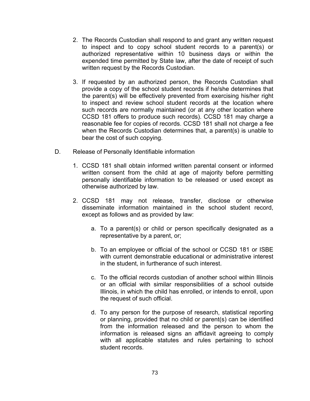- 2. The Records Custodian shall respond to and grant any written request to inspect and to copy school student records to a parent(s) or authorized representative within 10 business days or within the expended time permitted by State law, after the date of receipt of such written request by the Records Custodian.
- 3. If requested by an authorized person, the Records Custodian shall provide a copy of the school student records if he/she determines that the parent(s) will be effectively prevented from exercising his/her right to inspect and review school student records at the location where such records are normally maintained (or at any other location where CCSD 181 offers to produce such records). CCSD 181 may charge a reasonable fee for copies of records. CCSD 181 shall not charge a fee when the Records Custodian determines that, a parent(s) is unable to bear the cost of such copying.
- D. Release of Personally Identifiable information
	- 1. CCSD 181 shall obtain informed written parental consent or informed written consent from the child at age of majority before permitting personally identifiable information to be released or used except as otherwise authorized by law.
	- 2. CCSD 181 may not release, transfer, disclose or otherwise disseminate information maintained in the school student record, except as follows and as provided by law:
		- a. To a parent(s) or child or person specifically designated as a representative by a parent, or;
		- b. To an employee or official of the school or CCSD 181 or ISBE with current demonstrable educational or administrative interest in the student, in furtherance of such interest.
		- c. To the official records custodian of another school within Illinois or an official with similar responsibilities of a school outside Illinois, in which the child has enrolled, or intends to enroll, upon the request of such official.
		- d. To any person for the purpose of research, statistical reporting or planning, provided that no child or parent(s) can be identified from the information released and the person to whom the information is released signs an affidavit agreeing to comply with all applicable statutes and rules pertaining to school student records.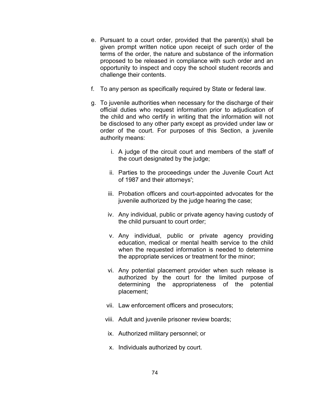- e. Pursuant to a court order, provided that the parent(s) shall be given prompt written notice upon receipt of such order of the terms of the order, the nature and substance of the information proposed to be released in compliance with such order and an opportunity to inspect and copy the school student records and challenge their contents.
- f. To any person as specifically required by State or federal law.
- g. To juvenile authorities when necessary for the discharge of their official duties who request information prior to adjudication of the child and who certify in writing that the information will not be disclosed to any other party except as provided under law or order of the court. For purposes of this Section, a juvenile authority means:
	- i. A judge of the circuit court and members of the staff of the court designated by the judge;
	- ii. Parties to the proceedings under the Juvenile Court Act of 1987 and their attorneys';
	- iii. Probation officers and court-appointed advocates for the juvenile authorized by the judge hearing the case;
	- iv. Any individual, public or private agency having custody of the child pursuant to court order;
	- v. Any individual, public or private agency providing education, medical or mental health service to the child when the requested information is needed to determine the appropriate services or treatment for the minor;
	- vi. Any potential placement provider when such release is authorized by the court for the limited purpose of determining the appropriateness of the potential placement;
	- vii. Law enforcement officers and prosecutors;
	- viii. Adult and juvenile prisoner review boards;
	- ix. Authorized military personnel; or
	- x. Individuals authorized by court.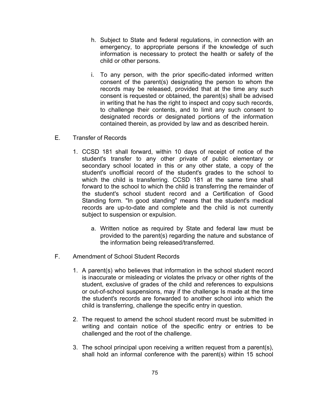- h. Subject to State and federal regulations, in connection with an emergency, to appropriate persons if the knowledge of such information is necessary to protect the health or safety of the child or other persons.
- i. To any person, with the prior specific-dated informed written consent of the parent(s) designating the person to whom the records may be released, provided that at the time any such consent is requested or obtained, the parent(s) shall be advised in writing that he has the right to inspect and copy such records, to challenge their contents, and to limit any such consent to designated records or designated portions of the information contained therein, as provided by law and as described herein.
- E. Transfer of Records
	- 1. CCSD 181 shall forward, within 10 days of receipt of notice of the student's transfer to any other private of public elementary or secondary school located in this or any other state, a copy of the student's unofficial record of the student's grades to the school to which the child is transferring. CCSD 181 at the same time shall forward to the school to which the child is transferring the remainder of the student's school student record and a Certification of Good Standing form. "In good standing" means that the student's medical records are up-to-date and complete and the child is not currently subject to suspension or expulsion.
		- a. Written notice as required by State and federal law must be provided to the parent(s) regarding the nature and substance of the information being released/transferred.
- F. Amendment of School Student Records
	- 1. A parent(s) who believes that information in the school student record is inaccurate or misleading or violates the privacy or other rights of the student, exclusive of grades of the child and references to expulsions or out-of-school suspensions, may if the challenge Is made at the time the student's records are forwarded to another school into which the child is transferring, challenge the specific entry in question.
	- 2. The request to amend the school student record must be submitted in writing and contain notice of the specific entry or entries to be challenged and the root of the challenge.
	- 3. The school principal upon receiving a written request from a parent(s), shall hold an informal conference with the parent(s) within 15 school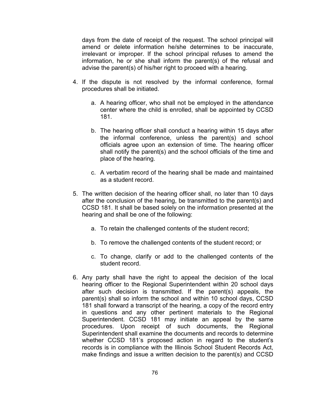days from the date of receipt of the request. The school principal will amend or delete information he/she determines to be inaccurate, irrelevant or improper. If the school principal refuses to amend the information, he or she shall inform the parent(s) of the refusal and advise the parent(s) of his/her right to proceed with a hearing.

- 4. If the dispute is not resolved by the informal conference, formal procedures shall be initiated.
	- a. A hearing officer, who shall not be employed in the attendance center where the child is enrolled, shall be appointed by CCSD 181.
	- b. The hearing officer shall conduct a hearing within 15 days after the informal conference, unless the parent(s) and school officials agree upon an extension of time. The hearing officer shall notify the parent(s) and the school officials of the time and place of the hearing.
	- c. A verbatim record of the hearing shall be made and maintained as a student record.
- 5. The written decision of the hearing officer shall, no later than 10 days after the conclusion of the hearing, be transmitted to the parent(s) and CCSD 181. It shall be based solely on the information presented at the hearing and shall be one of the following:
	- a. To retain the challenged contents of the student record;
	- b. To remove the challenged contents of the student record; or
	- c. To change, clarify or add to the challenged contents of the student record.
- 6. Any party shall have the right to appeal the decision of the local hearing officer to the Regional Superintendent within 20 school days after such decision is transmitted. If the parent(s) appeals, the parent(s) shall so inform the school and within 10 school days, CCSD 181 shall forward a transcript of the hearing, a copy of the record entry in questions and any other pertinent materials to the Regional Superintendent. CCSD 181 may initiate an appeal by the same procedures. Upon receipt of such documents, the Regional Superintendent shall examine the documents and records to determine whether CCSD 181's proposed action in regard to the student's records is in compliance with the Illinois School Student Records Act, make findings and issue a written decision to the parent(s) and CCSD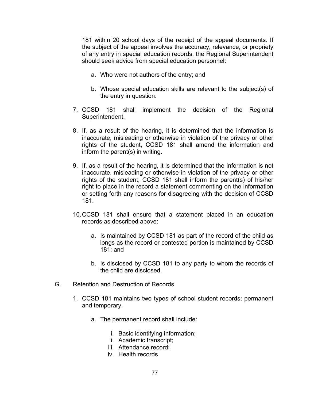181 within 20 school days of the receipt of the appeal documents. If the subject of the appeal involves the accuracy, relevance, or propriety of any entry in special education records, the Regional Superintendent should seek advice from special education personnel:

- a. Who were not authors of the entry; and
- b. Whose special education skills are relevant to the subject(s) of the entry in question.
- 7. CCSD 181 shall implement the decision of the Regional Superintendent.
- 8. If, as a result of the hearing, it is determined that the information is inaccurate, misleading or otherwise in violation of the privacy or other rights of the student, CCSD 181 shall amend the information and inform the parent(s) in writing.
- 9. If, as a result of the hearing, it is determined that the Information is not inaccurate, misleading or otherwise in violation of the privacy or other rights of the student, CCSD 181 shall inform the parent(s) of his/her right to place in the record a statement commenting on the information or setting forth any reasons for disagreeing with the decision of CCSD 181.
- 10.CCSD 181 shall ensure that a statement placed in an education records as described above:
	- a. Is maintained by CCSD 181 as part of the record of the child as longs as the record or contested portion is maintained by CCSD 181; and
	- b. Is disclosed by CCSD 181 to any party to whom the records of the child are disclosed.
- G. Retention and Destruction of Records
	- 1. CCSD 181 maintains two types of school student records; permanent and temporary.
		- a. The permanent record shall include:
			- i. Basic identifying information;
			- ii. Academic transcript;
			- iii. Attendance record;
			- iv. Health records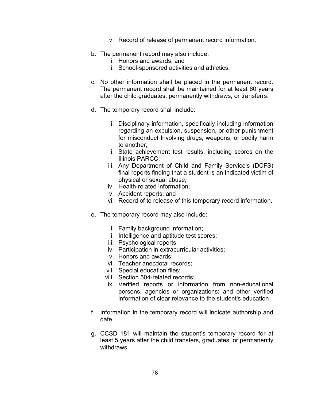- v. Record of release of permanent record information.
- b. The permanent record may also include:
	- i. Honors and awards; and
	- ii. School-sponsored activities and athletics.
- c. No other information shall be placed in the permanent record. The permanent record shall be maintained for at least 60 years after the child graduates, permanently withdraws, or transferrs.
- d. The temporary record shall include:
	- i. Disciplinary information, specifically including information regarding an expulsion, suspension, or other punishment for misconduct Involving drugs, weapons, or bodily harm to another;
	- ii. State achievement test results, including scores on the Illinois PARCC;
	- iii. Any Department of Child and Family Service's (DCFS) final reports finding that a student is an indicated victim of physical or sexual abuse;
	- iv. Health-related information;
	- v. Accident reports; and
	- vi. Record of to release of this temporary record information.
- e. The temporary record may also include:
	- i. Family background information;
	- ii. Intelligence and aptitude test scores;
	- iii. Psychological reports;
	- iv. Participation in extracurricular activities;
	- v. Honors and awards;
	- vi. Teacher anecdotal records;
	- vii. Special education files;
	- viii. Section 504-related records;
	- ix. Verified reports or information from non-educational persons, agencies or organizations; and other verified information of clear relevance to the student's education
- f. Information in the temporary record will indicate authorship and date.
- g. CCSD 181 will maintain the student's temporary record for at least 5 years after the child transfers, graduates, or permanently withdraws.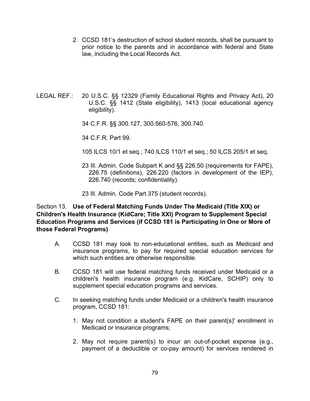- 2. CCSD 181's destruction of school student records, shall be pursuant to prior notice to the parents and in accordance with federal and State law, including the Local Records Act.
- LEGAL REF.: 20 U.S.C. §§ 12329 (Family Educational Rights and Privacy Act), 20 U.S.C. §§ 1412 (State eligibility), 1413 (local educational agency eligibility).
	- 34 C.F.R. §§ 300.127, 300.560-576, 300.740.
	- 34 C.F.R. Part 99.
	- 105 ILCS 10/1 et seq.; 740 ILCS 110/1 et seq.; 50 ILCS 205/1 et seq.
	- 23 Ill. Admin. Code Subpart K and §§ 226.50 (requirements for FAPE), 226.75 (definitions), 226.220 (factors in development of the IEP), 226.740 (records; confidentiality).
	- 23 Ill. Admin. Code Part 375 (student records).

## Section 13. **Use of Federal Matching Funds Under The Medicaid (Title XIX) or Children's Health Insurance (KidCare; Title XXI) Program to Supplement Special Education Programs and Services (if CCSD 181 is Participating in One or More of those Federal Programs)**

- A. CCSD 181 may look to non-educational entities, such as Medicaid and insurance programs, to pay for required special education services for which such entities are otherwise responsible.
- B. CCSD 181 will use federal matching funds received under Medicaid or a children's health insurance program (e.g. KidCare, SCHIP) only to supplement special education programs and services.
- C. In seeking matching funds under Medicaid or a children's health insurance program, CCSD 181:
	- 1. May not condition a student's FAPE on their parent(s)' enrollment in Medicaid or insurance programs;
	- 2. May not require parent(s) to incur an out-of-pocket expense (e.g., payment of a deductible or co-pay amount) for services rendered in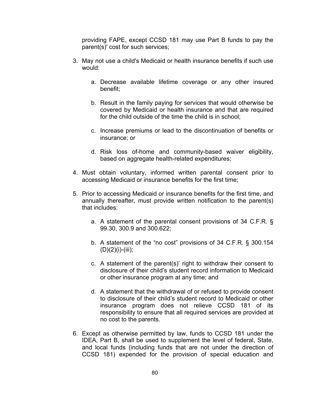providing FAPE, except CCSD 181 may use Part B funds to pay the parent(s)' cost for such services;

- 3. May not use a child's Medicaid or health insurance benefits if such use would:
	- a. Decrease available lifetime coverage or any other insured benefit;
	- b. Result in the family paying for services that would otherwise be covered by Medicaid or health insurance and that are required for the child outside of the time the child is in school;
	- c. Increase premiums or lead to the discontinuation of benefits or insurance; or
	- d. Risk loss of-home and community-based waiver eligibility, based on aggregate health-related expenditures;
- 4. Must obtain voluntary, informed written parental consent prior to accessing Medicaid or insurance benefits for the first time;
- 5. Prior to accessing Medicaid or insurance benefits for the first time, and annually thereafter, must provide written notification to the parent(s) that includes:
	- a. A statement of the parental consent provisions of 34 C.F.R. § 99.30, 300.9 and 300.622;
	- b. A statement of the "no cost" provisions of 34 C.F.R. § 300.154  $(D)(2)(i)-(iii);$
	- c. A statement of the parent(s)' right to withdraw their consent to disclosure of their child's student record information to Medicaid or other insurance program at any time; and
	- d. A statement that the withdrawal of or refused to provide consent to disclosure of their child's student record to Medicaid or other insurance program does not relieve CCSD 181 of its responsibility to ensure that all required services are provided at no cost to the parents.
- 6. Except as otherwise permitted by law, funds to CCSD 181 under the IDEA, Part B, shall be used to supplement the level of federal, State, and local funds (including funds that are not under the direction of CCSD 181) expended for the provision of special education and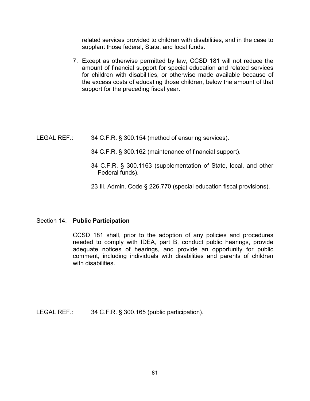related services provided to children with disabilities, and in the case to supplant those federal, State, and local funds.

7. Except as otherwise permitted by law, CCSD 181 will not reduce the amount of financial support for special education and related services for children with disabilities, or otherwise made available because of the excess costs of educating those children, below the amount of that support for the preceding fiscal year.

- LEGAL REF.: 34 C.F.R. § 300.154 (method of ensuring services).
	- 34 C.F.R. § 300.162 (maintenance of financial support).
	- 34 C.F.R. § 300.1163 (supplementation of State, local, and other Federal funds).
	- 23 Ill. Admin. Code § 226.770 (special education fiscal provisions).

## Section 14. **Public Participation**

CCSD 181 shall, prior to the adoption of any policies and procedures needed to comply with IDEA, part B, conduct public hearings, provide adequate notices of hearings, and provide an opportunity for public comment, including individuals with disabilities and parents of children with disabilities.

LEGAL REF.: 34 C.F.R. § 300.165 (public participation).